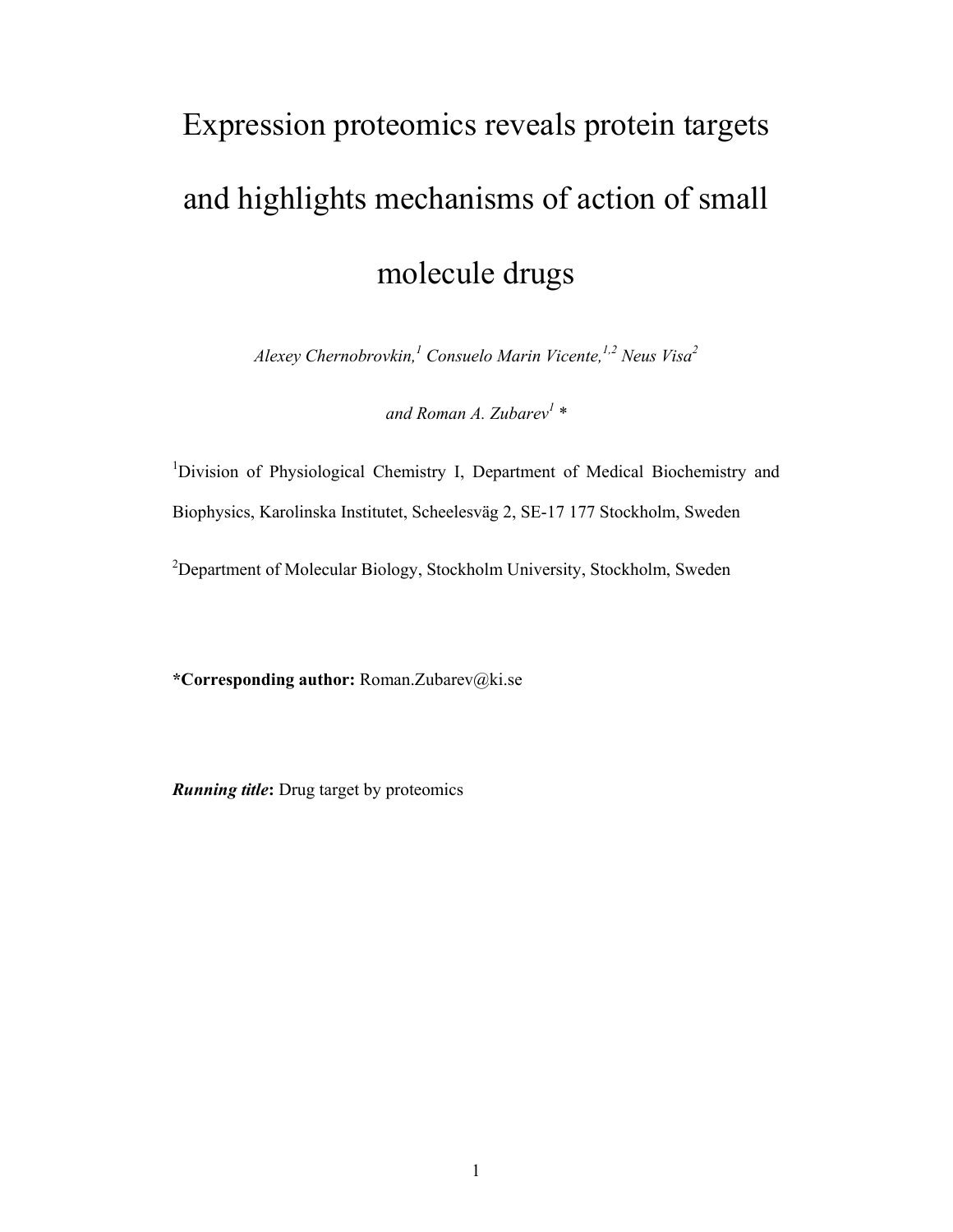# Expression proteomics reveals protein targets and highlights mechanisms of action of small molecule drugs

*Alexey Chernobrovkin,<sup>1</sup> Consuelo Marin Vicente,1,2 Neus Visa2* 

and Roman A. Zubarev<sup>1</sup>  $*$ 

<sup>1</sup>Division of Physiological Chemistry I, Department of Medical Biochemistry and

Biophysics, Karolinska Institutet, Scheelesväg 2, SE-17 177 Stockholm, Sweden

<sup>2</sup>Department of Molecular Biology, Stockholm University, Stockholm, Sweden

**\*Corresponding author:** Roman.Zubarev@ki.se

*Running title***:** Drug target by proteomics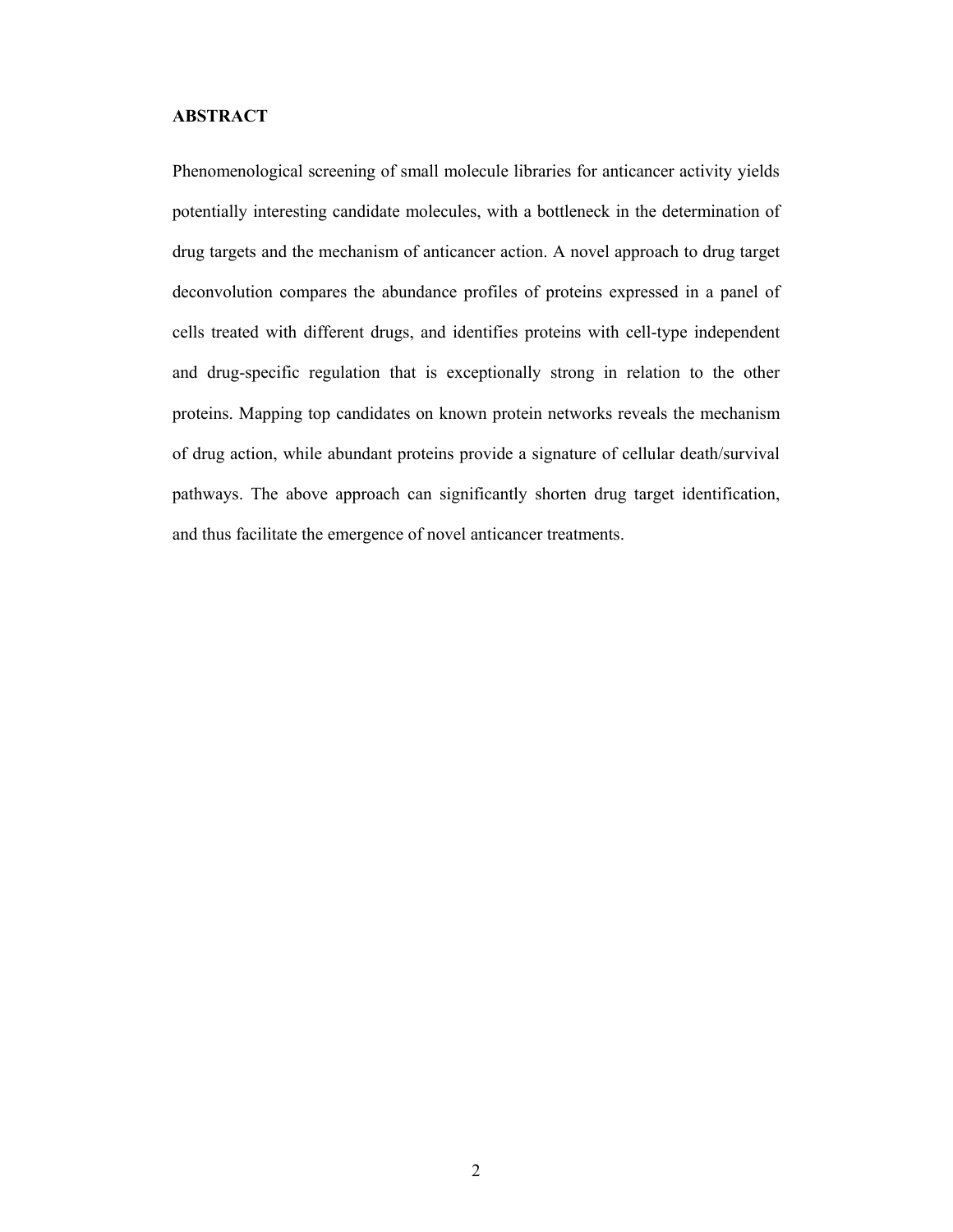#### **ABSTRACT**

Phenomenological screening of small molecule libraries for anticancer activity yields potentially interesting candidate molecules, with a bottleneck in the determination of drug targets and the mechanism of anticancer action. A novel approach to drug target deconvolution compares the abundance profiles of proteins expressed in a panel of cells treated with different drugs, and identifies proteins with cell-type independent and drug-specific regulation that is exceptionally strong in relation to the other proteins. Mapping top candidates on known protein networks reveals the mechanism of drug action, while abundant proteins provide a signature of cellular death/survival pathways. The above approach can significantly shorten drug target identification, and thus facilitate the emergence of novel anticancer treatments.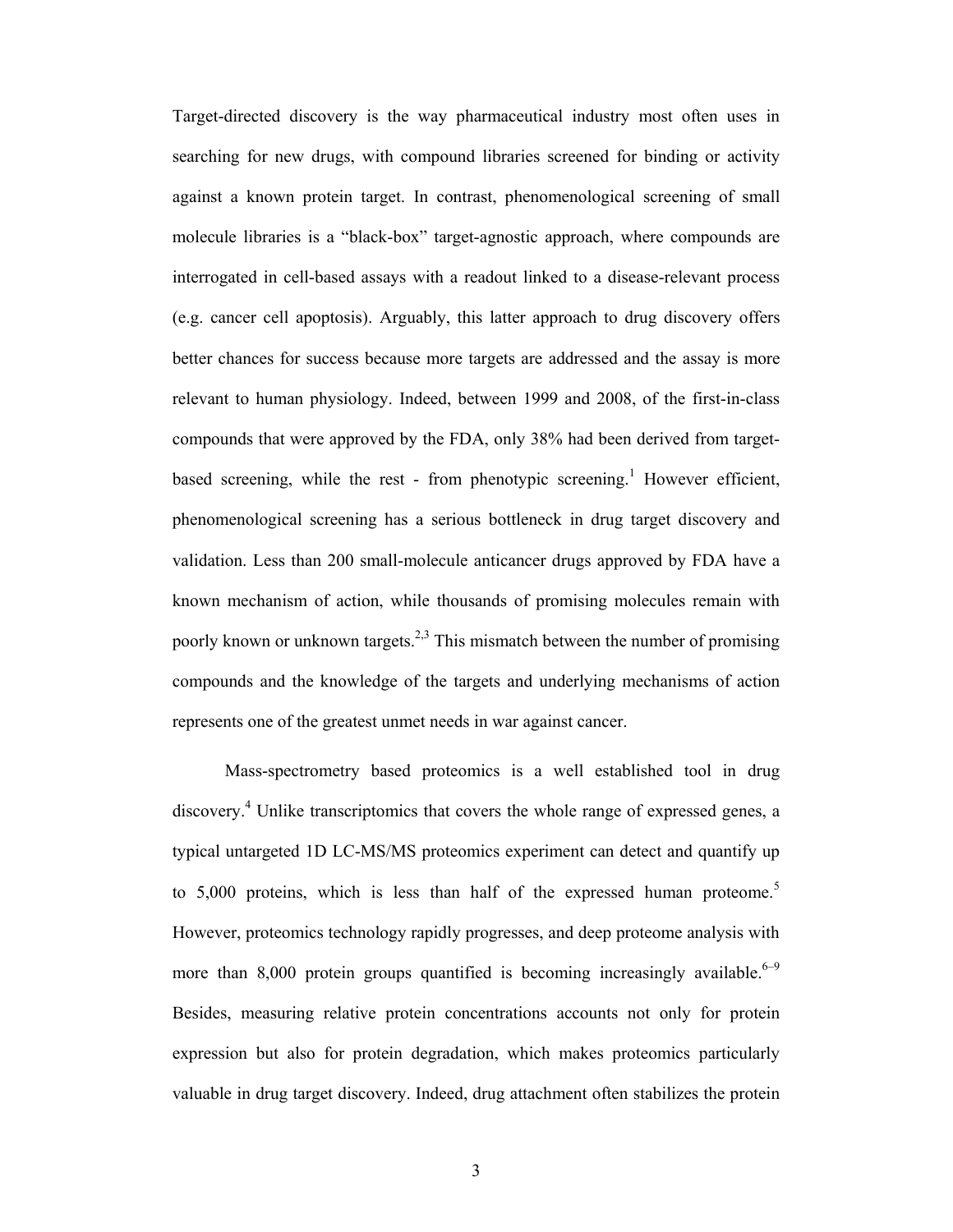Target-directed discovery is the way pharmaceutical industry most often uses in searching for new drugs, with compound libraries screened for binding or activity against a known protein target. In contrast, phenomenological screening of small molecule libraries is a "black-box" target-agnostic approach, where compounds are interrogated in cell-based assays with a readout linked to a disease-relevant process (e.g. cancer cell apoptosis). Arguably, this latter approach to drug discovery offers better chances for success because more targets are addressed and the assay is more relevant to human physiology. Indeed, between 1999 and 2008, of the first-in-class compounds that were approved by the FDA, only 38% had been derived from targetbased screening, while the rest - from phenotypic screening.<sup>1</sup> However efficient, phenomenological screening has a serious bottleneck in drug target discovery and validation. Less than 200 small-molecule anticancer drugs approved by FDA have a known mechanism of action, while thousands of promising molecules remain with poorly known or unknown targets.<sup>2,3</sup> This mismatch between the number of promising compounds and the knowledge of the targets and underlying mechanisms of action represents one of the greatest unmet needs in war against cancer.

Mass-spectrometry based proteomics is a well established tool in drug discovery.<sup>4</sup> Unlike transcriptomics that covers the whole range of expressed genes, a typical untargeted 1D LC-MS/MS proteomics experiment can detect and quantify up to  $5,000$  proteins, which is less than half of the expressed human proteome.<sup>5</sup> However, proteomics technology rapidly progresses, and deep proteome analysis with more than 8,000 protein groups quantified is becoming increasingly available.<sup> $6-9$ </sup> Besides, measuring relative protein concentrations accounts not only for protein expression but also for protein degradation, which makes proteomics particularly valuable in drug target discovery. Indeed, drug attachment often stabilizes the protein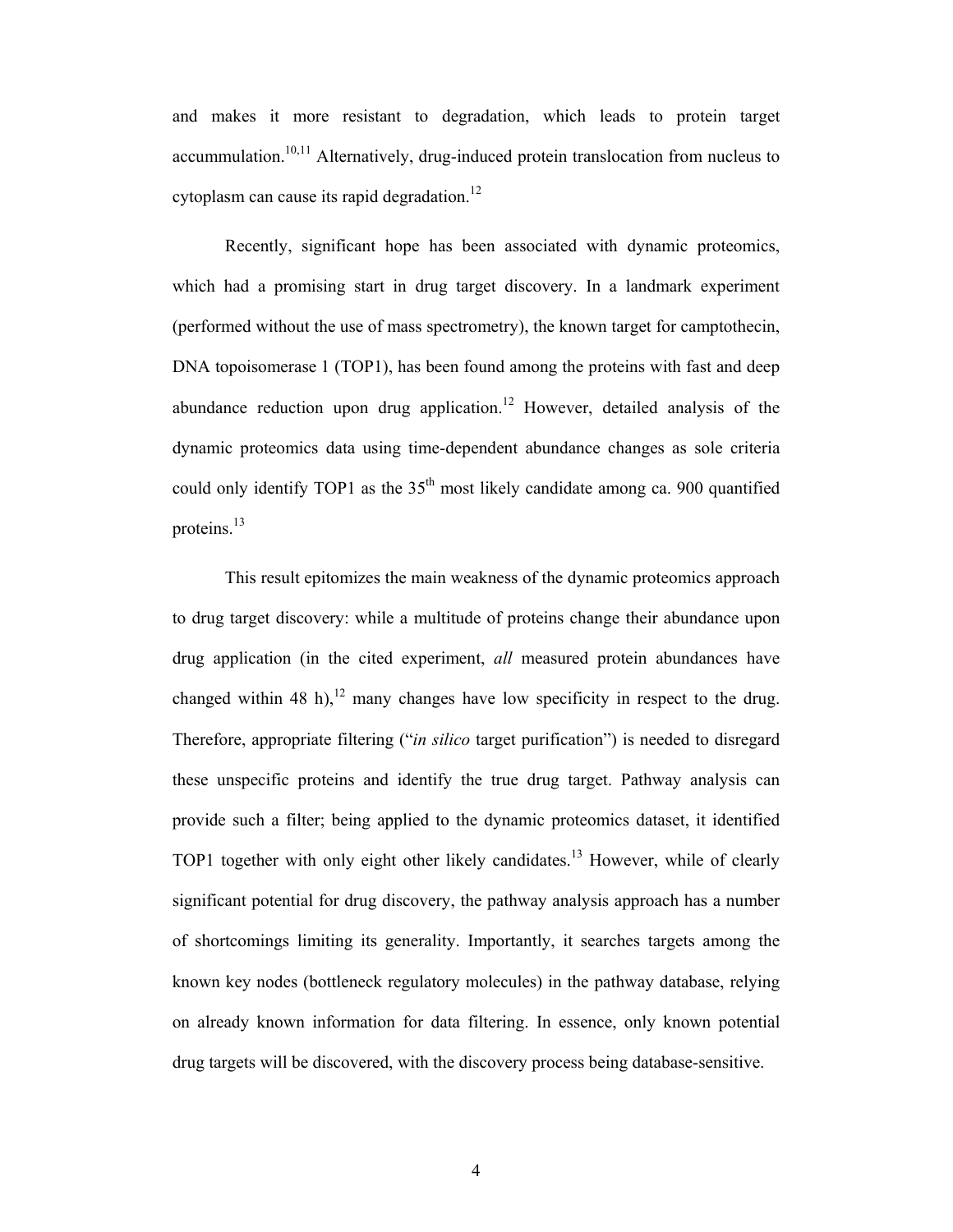and makes it more resistant to degradation, which leads to protein target accummulation.<sup>10,11</sup> Alternatively, drug-induced protein translocation from nucleus to cytoplasm can cause its rapid degradation.<sup>12</sup>

Recently, significant hope has been associated with dynamic proteomics, which had a promising start in drug target discovery. In a landmark experiment (performed without the use of mass spectrometry), the known target for camptothecin, DNA topoisomerase 1 (TOP1), has been found among the proteins with fast and deep abundance reduction upon drug application.<sup>12</sup> However, detailed analysis of the dynamic proteomics data using time-dependent abundance changes as sole criteria could only identify TOP1 as the  $35<sup>th</sup>$  most likely candidate among ca. 900 quantified proteins.<sup>13</sup>

This result epitomizes the main weakness of the dynamic proteomics approach to drug target discovery: while a multitude of proteins change their abundance upon drug application (in the cited experiment, *all* measured protein abundances have changed within 48 h),<sup>12</sup> many changes have low specificity in respect to the drug. Therefore, appropriate filtering ("*in silico* target purification") is needed to disregard these unspecific proteins and identify the true drug target. Pathway analysis can provide such a filter; being applied to the dynamic proteomics dataset, it identified TOP1 together with only eight other likely candidates.<sup>13</sup> However, while of clearly significant potential for drug discovery, the pathway analysis approach has a number of shortcomings limiting its generality. Importantly, it searches targets among the known key nodes (bottleneck regulatory molecules) in the pathway database, relying on already known information for data filtering. In essence, only known potential drug targets will be discovered, with the discovery process being database-sensitive.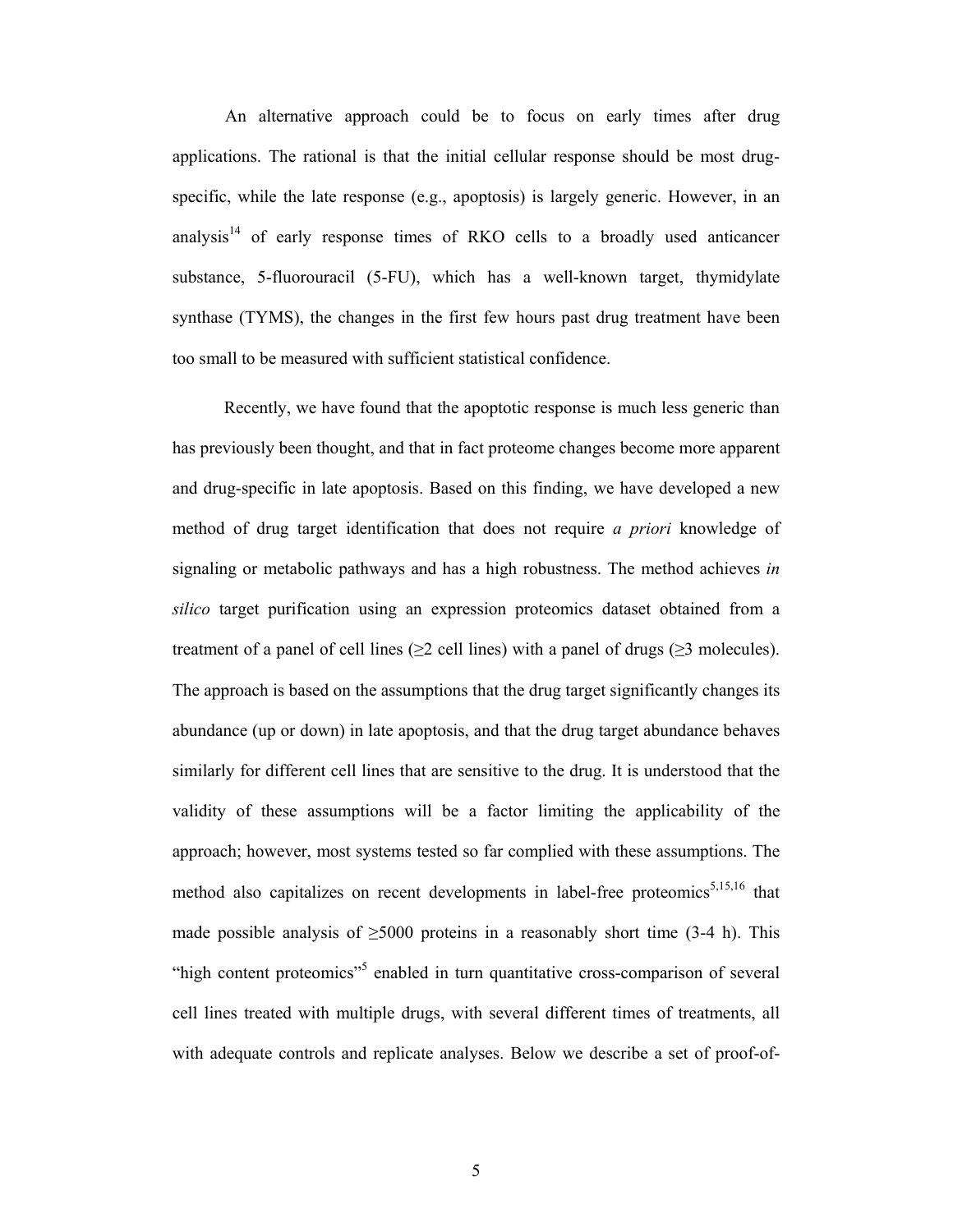An alternative approach could be to focus on early times after drug applications. The rational is that the initial cellular response should be most drugspecific, while the late response (e.g., apoptosis) is largely generic. However, in an analysis $14$  of early response times of RKO cells to a broadly used anticancer substance, 5-fluorouracil (5-FU), which has a well-known target, thymidylate synthase (TYMS), the changes in the first few hours past drug treatment have been too small to be measured with sufficient statistical confidence.

Recently, we have found that the apoptotic response is much less generic than has previously been thought, and that in fact proteome changes become more apparent and drug-specific in late apoptosis. Based on this finding, we have developed a new method of drug target identification that does not require *a priori* knowledge of signaling or metabolic pathways and has a high robustness. The method achieves *in silico* target purification using an expression proteomics dataset obtained from a treatment of a panel of cell lines ( $\geq$ 2 cell lines) with a panel of drugs ( $\geq$ 3 molecules). The approach is based on the assumptions that the drug target significantly changes its abundance (up or down) in late apoptosis, and that the drug target abundance behaves similarly for different cell lines that are sensitive to the drug. It is understood that the validity of these assumptions will be a factor limiting the applicability of the approach; however, most systems tested so far complied with these assumptions. The method also capitalizes on recent developments in label-free proteomics<sup>5,15,16</sup> that made possible analysis of  $\geq 5000$  proteins in a reasonably short time (3-4 h). This "high content proteomics"<sup>5</sup> enabled in turn quantitative cross-comparison of several cell lines treated with multiple drugs, with several different times of treatments, all with adequate controls and replicate analyses. Below we describe a set of proof-of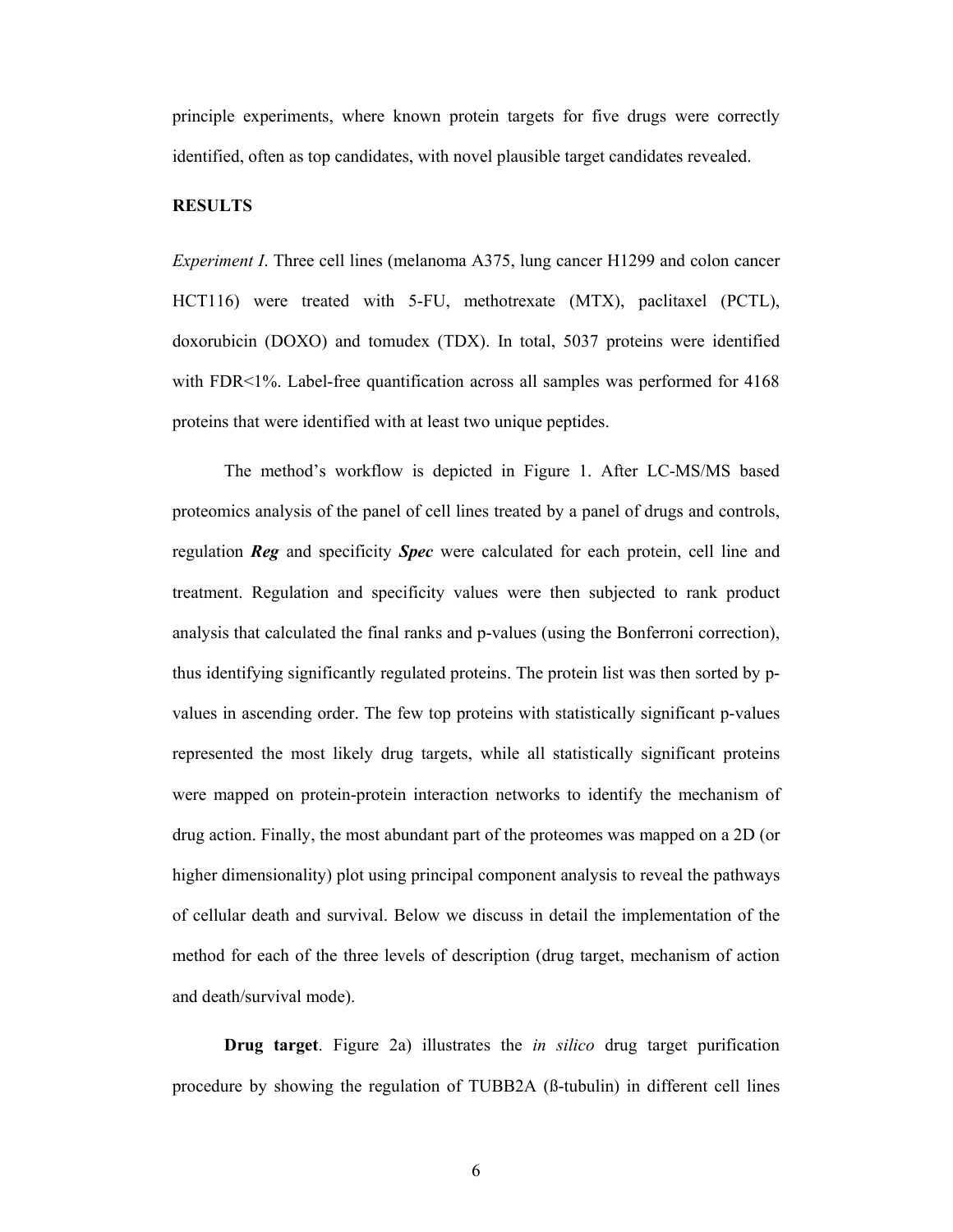principle experiments, where known protein targets for five drugs were correctly identified, often as top candidates, with novel plausible target candidates revealed.

#### **RESULTS**

*Experiment I*. Three cell lines (melanoma A375, lung cancer H1299 and colon cancer HCT116) were treated with 5-FU, methotrexate (MTX), paclitaxel (PCTL), doxorubicin (DOXO) and tomudex (TDX). In total, 5037 proteins were identified with FDR<1%. Label-free quantification across all samples was performed for 4168 proteins that were identified with at least two unique peptides.

The method's workflow is depicted in Figure 1. After LC-MS/MS based proteomics analysis of the panel of cell lines treated by a panel of drugs and controls, regulation *Reg* and specificity *Spec* were calculated for each protein, cell line and treatment. Regulation and specificity values were then subjected to rank product analysis that calculated the final ranks and p-values (using the Bonferroni correction), thus identifying significantly regulated proteins. The protein list was then sorted by pvalues in ascending order. The few top proteins with statistically significant p-values represented the most likely drug targets, while all statistically significant proteins were mapped on protein-protein interaction networks to identify the mechanism of drug action. Finally, the most abundant part of the proteomes was mapped on a 2D (or higher dimensionality) plot using principal component analysis to reveal the pathways of cellular death and survival. Below we discuss in detail the implementation of the method for each of the three levels of description (drug target, mechanism of action and death/survival mode).

**Drug target**. Figure 2a) illustrates the *in silico* drug target purification procedure by showing the regulation of TUBB2A (ß-tubulin) in different cell lines

6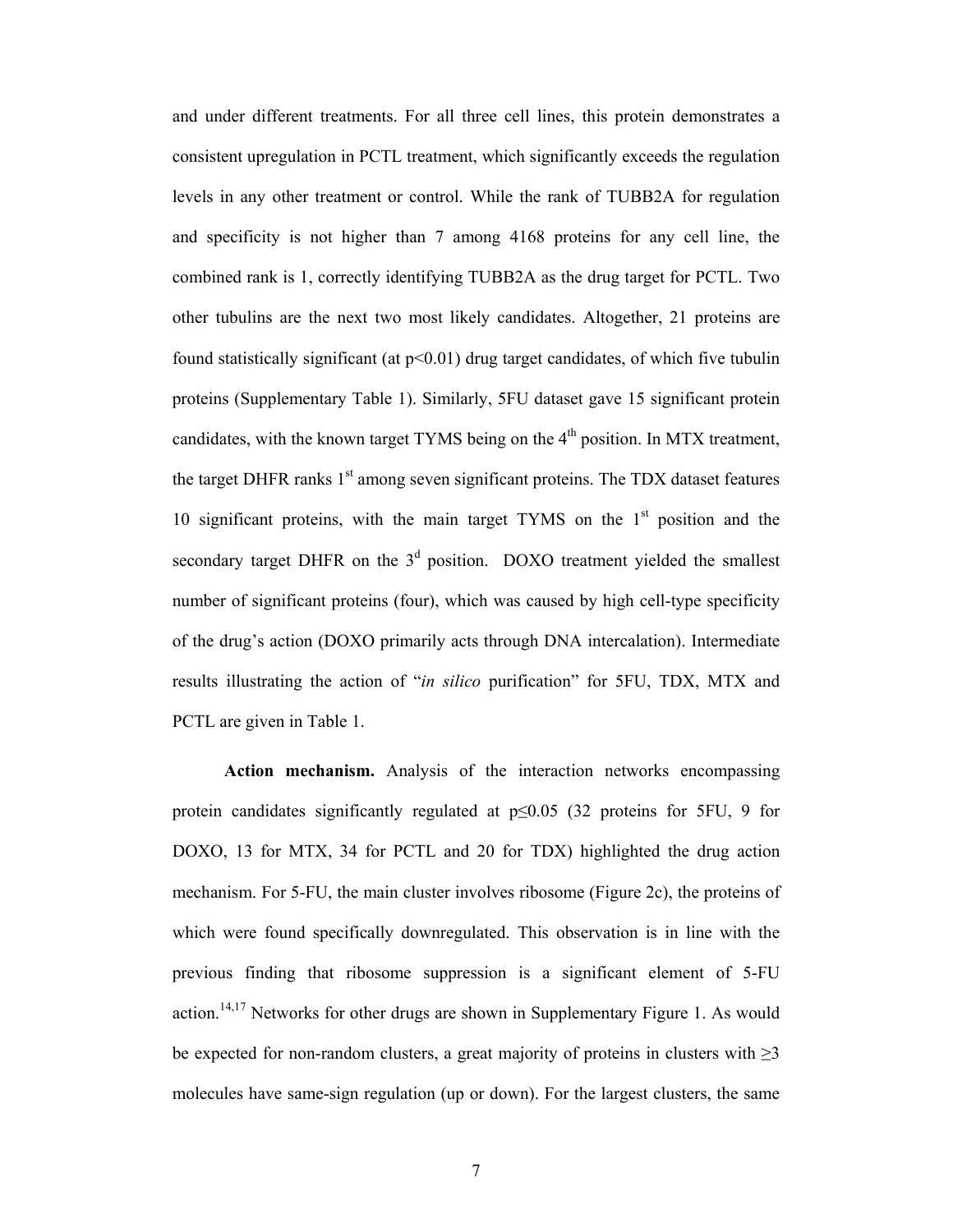and under different treatments. For all three cell lines, this protein demonstrates a consistent upregulation in PCTL treatment, which significantly exceeds the regulation levels in any other treatment or control. While the rank of TUBB2A for regulation and specificity is not higher than 7 among 4168 proteins for any cell line, the combined rank is 1, correctly identifying TUBB2A as the drug target for PCTL. Two other tubulins are the next two most likely candidates. Altogether, 21 proteins are found statistically significant (at  $p<0.01$ ) drug target candidates, of which five tubulin proteins (Supplementary Table 1). Similarly, 5FU dataset gave 15 significant protein candidates, with the known target TYMS being on the  $4<sup>th</sup>$  position. In MTX treatment, the target DHFR ranks  $1<sup>st</sup>$  among seven significant proteins. The TDX dataset features 10 significant proteins, with the main target TYMS on the  $1<sup>st</sup>$  position and the secondary target DHFR on the  $3<sup>d</sup>$  position. DOXO treatment yielded the smallest number of significant proteins (four), which was caused by high cell-type specificity of the drug's action (DOXO primarily acts through DNA intercalation). Intermediate results illustrating the action of "*in silico* purification" for 5FU, TDX, MTX and PCTL are given in Table 1.

**Action mechanism.** Analysis of the interaction networks encompassing protein candidates significantly regulated at  $p\leq 0.05$  (32 proteins for 5FU, 9 for DOXO, 13 for MTX, 34 for PCTL and 20 for TDX) highlighted the drug action mechanism. For 5-FU, the main cluster involves ribosome (Figure 2c), the proteins of which were found specifically downregulated. This observation is in line with the previous finding that ribosome suppression is a significant element of 5-FU action.14,17 Networks for other drugs are shown in Supplementary Figure 1. As would be expected for non-random clusters, a great majority of proteins in clusters with  $\geq 3$ molecules have same-sign regulation (up or down). For the largest clusters, the same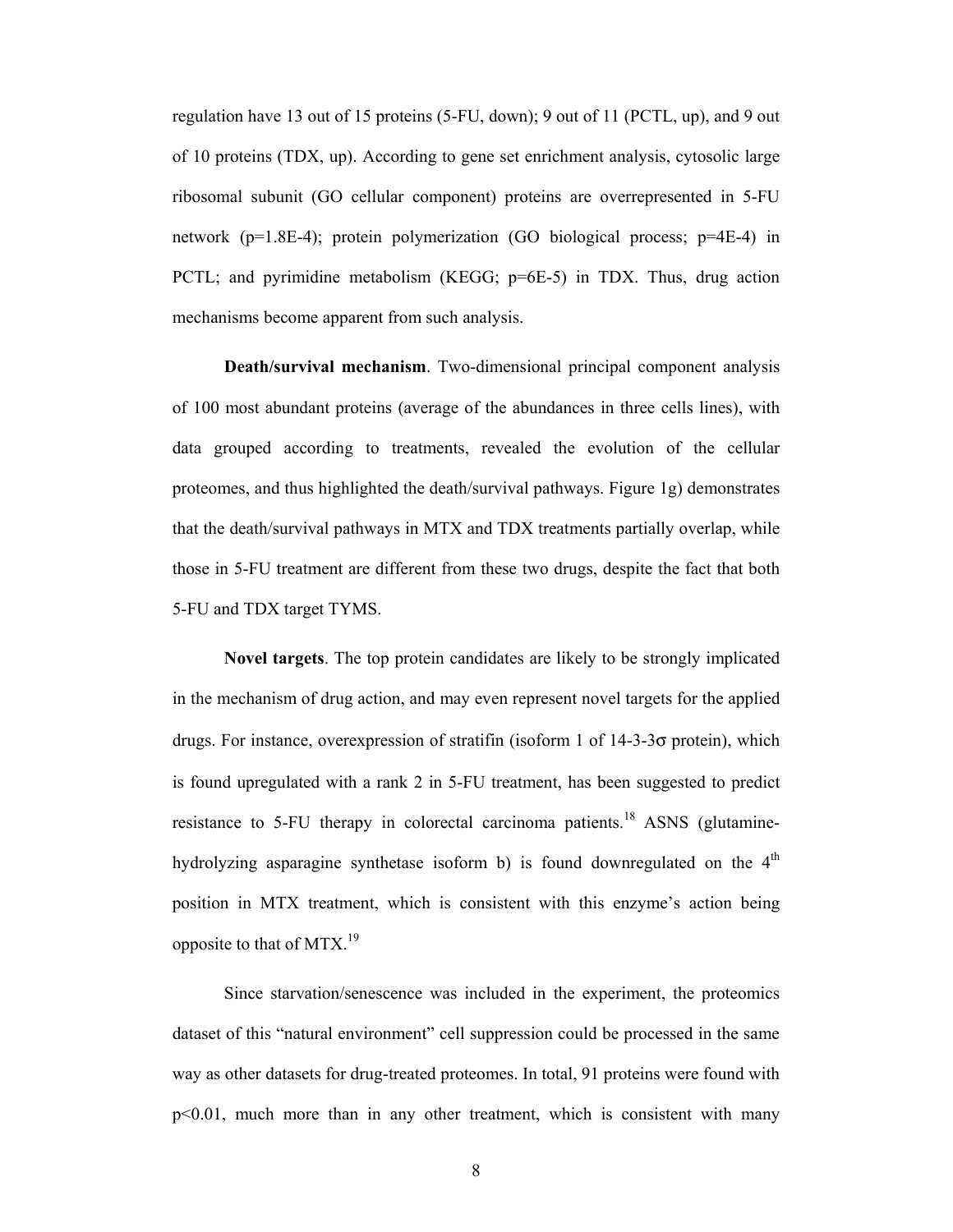regulation have 13 out of 15 proteins (5-FU, down); 9 out of 11 (PCTL, up), and 9 out of 10 proteins (TDX, up). According to gene set enrichment analysis, cytosolic large ribosomal subunit (GO cellular component) proteins are overrepresented in 5-FU network (p=1.8E-4); protein polymerization (GO biological process; p=4E-4) in PCTL; and pyrimidine metabolism (KEGG;  $p=6E-5$ ) in TDX. Thus, drug action mechanisms become apparent from such analysis.

**Death/survival mechanism**. Two-dimensional principal component analysis of 100 most abundant proteins (average of the abundances in three cells lines), with data grouped according to treatments, revealed the evolution of the cellular proteomes, and thus highlighted the death/survival pathways. Figure 1g) demonstrates that the death/survival pathways in MTX and TDX treatments partially overlap, while those in 5-FU treatment are different from these two drugs, despite the fact that both 5-FU and TDX target TYMS.

**Novel targets**. The top protein candidates are likely to be strongly implicated in the mechanism of drug action, and may even represent novel targets for the applied drugs. For instance, overexpression of stratifin (isoform 1 of 14-3-3σ protein), which is found upregulated with a rank 2 in 5-FU treatment, has been suggested to predict resistance to  $5$ -FU therapy in colorectal carcinoma patients.<sup>18</sup> ASNS (glutaminehydrolyzing asparagine synthetase isoform b) is found downregulated on the 4<sup>th</sup> position in MTX treatment, which is consistent with this enzyme's action being opposite to that of MTX.<sup>19</sup>

Since starvation/senescence was included in the experiment, the proteomics dataset of this "natural environment" cell suppression could be processed in the same way as other datasets for drug-treated proteomes. In total, 91 proteins were found with  $p<0.01$ , much more than in any other treatment, which is consistent with many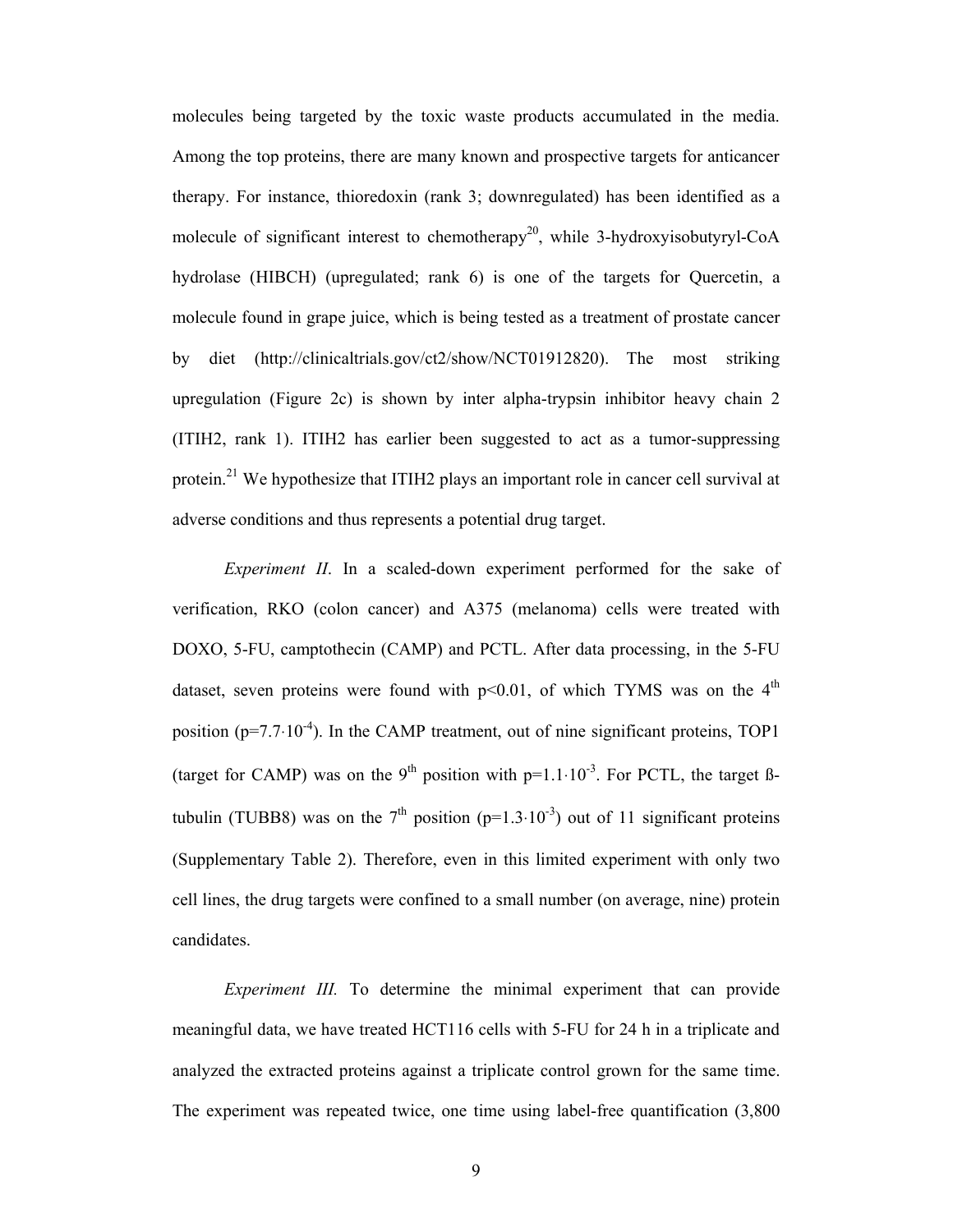molecules being targeted by the toxic waste products accumulated in the media. Among the top proteins, there are many known and prospective targets for anticancer therapy. For instance, thioredoxin (rank 3; downregulated) has been identified as a molecule of significant interest to chemotherapy<sup>20</sup>, while 3-hydroxyisobutyryl-CoA hydrolase (HIBCH) (upregulated; rank 6) is one of the targets for Quercetin, a molecule found in grape juice, which is being tested as a treatment of prostate cancer by diet (http://clinicaltrials.gov/ct2/show/NCT01912820). The most striking upregulation (Figure 2c) is shown by inter alpha-trypsin inhibitor heavy chain 2 (ITIH2, rank 1). ITIH2 has earlier been suggested to act as a tumor-suppressing protein.<sup>21</sup> We hypothesize that ITIH2 plays an important role in cancer cell survival at adverse conditions and thus represents a potential drug target.

*Experiment II*. In a scaled-down experiment performed for the sake of verification, RKO (colon cancer) and A375 (melanoma) cells were treated with DOXO, 5-FU, camptothecin (CAMP) and PCTL. After data processing, in the 5-FU dataset, seven proteins were found with  $p<0.01$ , of which TYMS was on the  $4<sup>th</sup>$ position ( $p=7.7·10^{-4}$ ). In the CAMP treatment, out of nine significant proteins, TOP1 (target for CAMP) was on the 9<sup>th</sup> position with p=1.1⋅10<sup>-3</sup>. For PCTL, the target ßtubulin (TUBB8) was on the 7<sup>th</sup> position (p=1.3⋅10<sup>-3</sup>) out of 11 significant proteins (Supplementary Table 2). Therefore, even in this limited experiment with only two cell lines, the drug targets were confined to a small number (on average, nine) protein candidates.

*Experiment III.* To determine the minimal experiment that can provide meaningful data, we have treated HCT116 cells with 5-FU for 24 h in a triplicate and analyzed the extracted proteins against a triplicate control grown for the same time. The experiment was repeated twice, one time using label-free quantification (3,800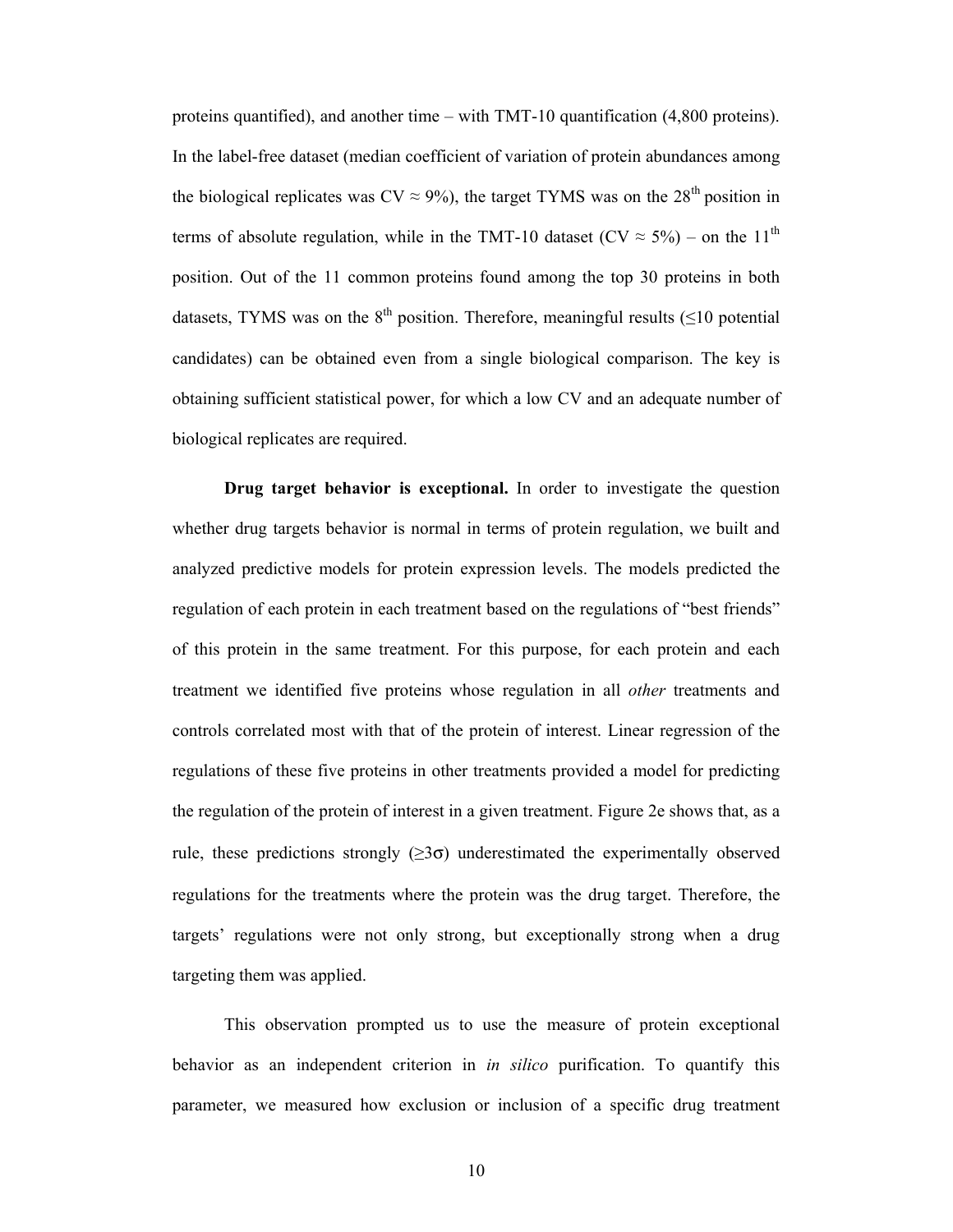proteins quantified), and another time – with TMT-10 quantification (4,800 proteins). In the label-free dataset (median coefficient of variation of protein abundances among the biological replicates was  $CV \approx 9\%$ ), the target TYMS was on the 28<sup>th</sup> position in terms of absolute regulation, while in the TMT-10 dataset (CV  $\approx$  5%) – on the 11<sup>th</sup> position. Out of the 11 common proteins found among the top 30 proteins in both datasets, TYMS was on the  $8<sup>th</sup>$  position. Therefore, meaningful results ( $\leq 10$  potential candidates) can be obtained even from a single biological comparison. The key is obtaining sufficient statistical power, for which a low CV and an adequate number of biological replicates are required.

**Drug target behavior is exceptional.** In order to investigate the question whether drug targets behavior is normal in terms of protein regulation, we built and analyzed predictive models for protein expression levels. The models predicted the regulation of each protein in each treatment based on the regulations of "best friends" of this protein in the same treatment. For this purpose, for each protein and each treatment we identified five proteins whose regulation in all *other* treatments and controls correlated most with that of the protein of interest. Linear regression of the regulations of these five proteins in other treatments provided a model for predicting the regulation of the protein of interest in a given treatment. Figure 2e shows that, as a rule, these predictions strongly  $(23\sigma)$  underestimated the experimentally observed regulations for the treatments where the protein was the drug target. Therefore, the targets' regulations were not only strong, but exceptionally strong when a drug targeting them was applied.

This observation prompted us to use the measure of protein exceptional behavior as an independent criterion in *in silico* purification. To quantify this parameter, we measured how exclusion or inclusion of a specific drug treatment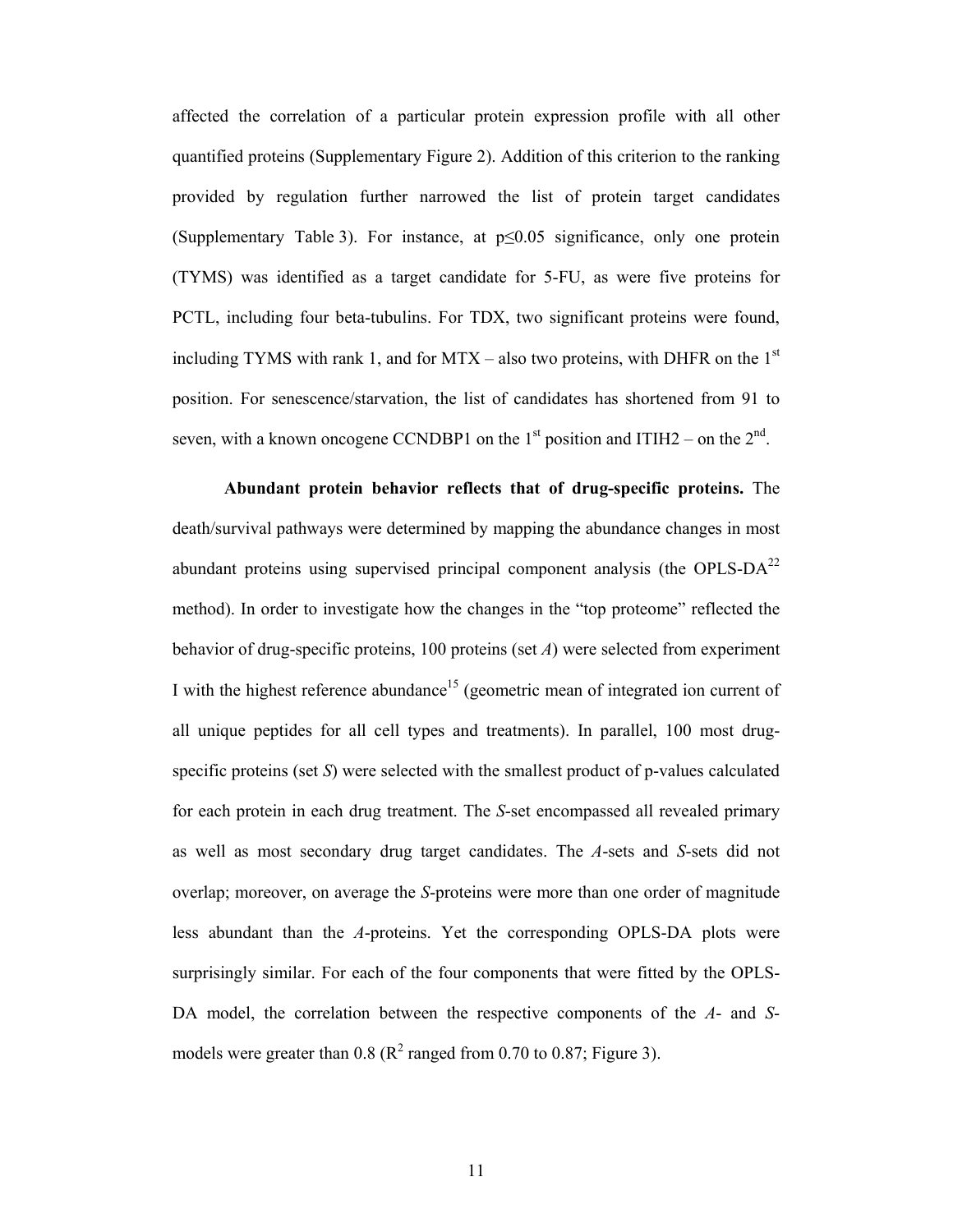affected the correlation of a particular protein expression profile with all other quantified proteins (Supplementary Figure 2). Addition of this criterion to the ranking provided by regulation further narrowed the list of protein target candidates (Supplementary Table 3). For instance, at  $p\leq 0.05$  significance, only one protein (TYMS) was identified as a target candidate for 5-FU, as were five proteins for PCTL, including four beta-tubulins. For TDX, two significant proteins were found, including TYMS with rank 1, and for MTX – also two proteins, with DHFR on the  $1<sup>st</sup>$ position. For senescence/starvation, the list of candidates has shortened from 91 to seven, with a known oncogene CCNDBP1 on the  $1<sup>st</sup>$  position and ITIH2 – on the  $2<sup>nd</sup>$ .

**Abundant protein behavior reflects that of drug-specific proteins.** The death/survival pathways were determined by mapping the abundance changes in most abundant proteins using supervised principal component analysis (the OPLS-DA $^{22}$ method). In order to investigate how the changes in the "top proteome" reflected the behavior of drug-specific proteins, 100 proteins (set *A*) were selected from experiment I with the highest reference abundance<sup>15</sup> (geometric mean of integrated ion current of all unique peptides for all cell types and treatments). In parallel, 100 most drugspecific proteins (set *S*) were selected with the smallest product of p-values calculated for each protein in each drug treatment. The *S*-set encompassed all revealed primary as well as most secondary drug target candidates. The *A*-sets and *S*-sets did not overlap; moreover, on average the *S*-proteins were more than one order of magnitude less abundant than the *A*-proteins. Yet the corresponding OPLS-DA plots were surprisingly similar. For each of the four components that were fitted by the OPLS-DA model, the correlation between the respective components of the *A*- and *S*models were greater than 0.8 ( $\mathbb{R}^2$  ranged from 0.70 to 0.87; Figure 3).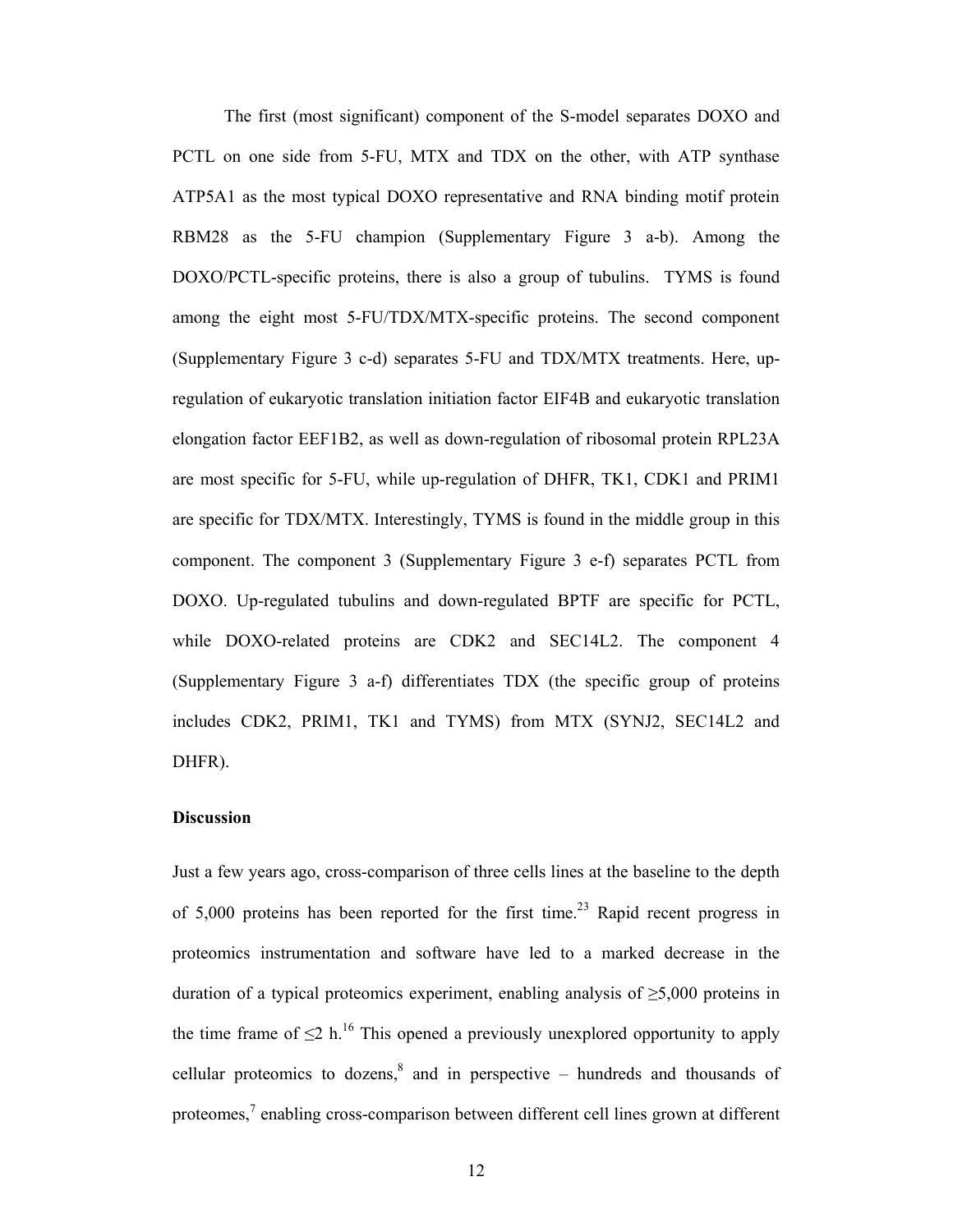The first (most significant) component of the S-model separates DOXO and PCTL on one side from 5-FU, MTX and TDX on the other, with ATP synthase ATP5A1 as the most typical DOXO representative and RNA binding motif protein RBM28 as the 5-FU champion (Supplementary Figure 3 a-b). Among the DOXO/PCTL-specific proteins, there is also a group of tubulins. TYMS is found among the eight most 5-FU/TDX/MTX-specific proteins. The second component (Supplementary Figure 3 c-d) separates 5-FU and TDX/MTX treatments. Here, upregulation of eukaryotic translation initiation factor EIF4B and eukaryotic translation elongation factor EEF1B2, as well as down-regulation of ribosomal protein RPL23A are most specific for 5-FU, while up-regulation of DHFR, TK1, CDK1 and PRIM1 are specific for TDX/MTX. Interestingly, TYMS is found in the middle group in this component. The component 3 (Supplementary Figure 3 e-f) separates PCTL from DOXO. Up-regulated tubulins and down-regulated BPTF are specific for PCTL, while DOXO-related proteins are CDK2 and SEC14L2. The component 4 (Supplementary Figure 3 a-f) differentiates TDX (the specific group of proteins includes CDK2, PRIM1, TK1 and TYMS) from MTX (SYNJ2, SEC14L2 and DHFR).

#### **Discussion**

Just a few years ago, cross-comparison of three cells lines at the baseline to the depth of 5,000 proteins has been reported for the first time.<sup>23</sup> Rapid recent progress in proteomics instrumentation and software have led to a marked decrease in the duration of a typical proteomics experiment, enabling analysis of  $\geq 5,000$  proteins in the time frame of  $\leq 2$  h.<sup>16</sup> This opened a previously unexplored opportunity to apply cellular proteomics to dozens, $\delta$  and in perspective – hundreds and thousands of proteomes,<sup>7</sup> enabling cross-comparison between different cell lines grown at different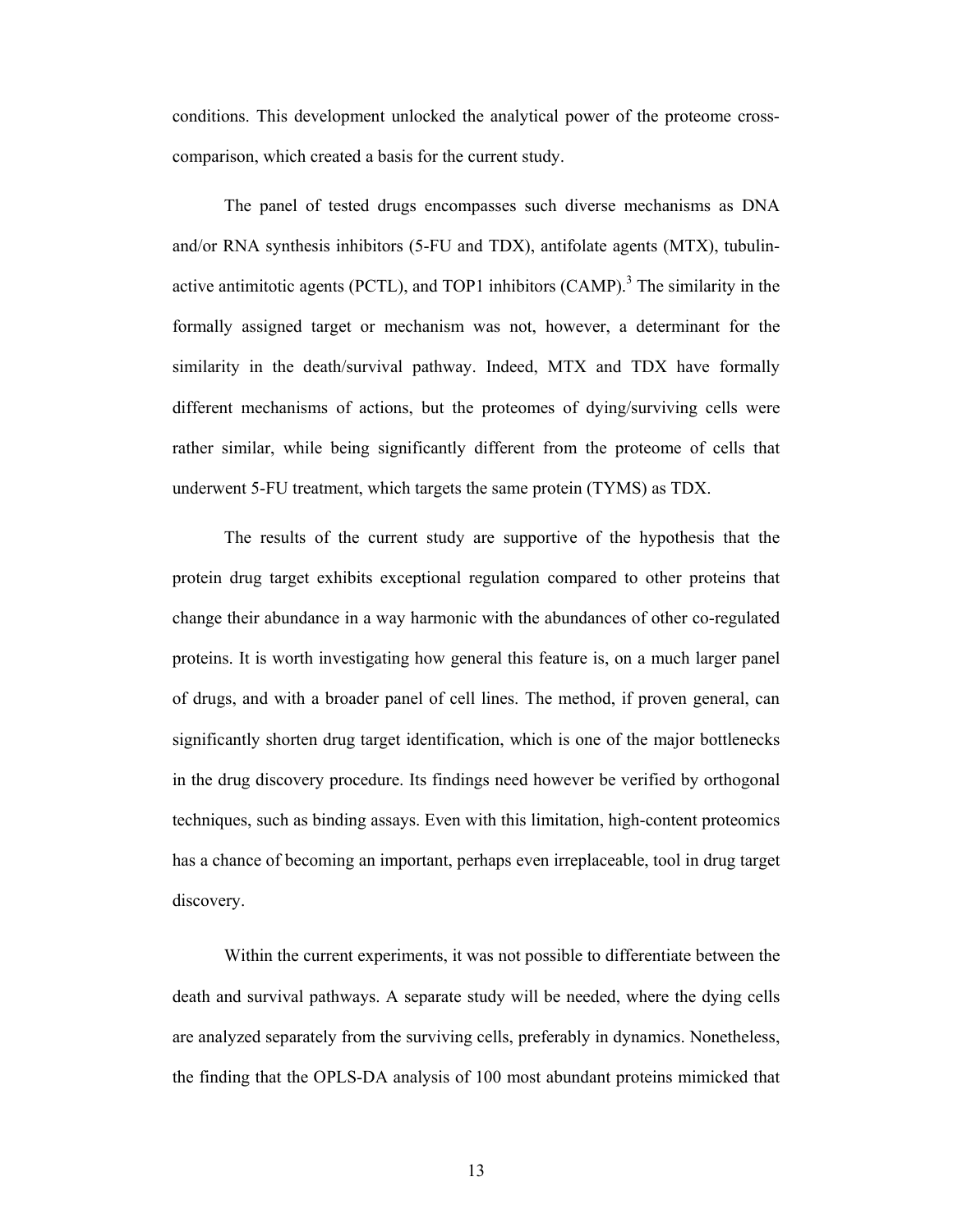conditions. This development unlocked the analytical power of the proteome crosscomparison, which created a basis for the current study.

The panel of tested drugs encompasses such diverse mechanisms as DNA and/or RNA synthesis inhibitors (5-FU and TDX), antifolate agents (MTX), tubulinactive antimitotic agents (PCTL), and TOP1 inhibitors  $(CAMP)$ .<sup>3</sup> The similarity in the formally assigned target or mechanism was not, however, a determinant for the similarity in the death/survival pathway. Indeed, MTX and TDX have formally different mechanisms of actions, but the proteomes of dying/surviving cells were rather similar, while being significantly different from the proteome of cells that underwent 5-FU treatment, which targets the same protein (TYMS) as TDX.

The results of the current study are supportive of the hypothesis that the protein drug target exhibits exceptional regulation compared to other proteins that change their abundance in a way harmonic with the abundances of other co-regulated proteins. It is worth investigating how general this feature is, on a much larger panel of drugs, and with a broader panel of cell lines. The method, if proven general, can significantly shorten drug target identification, which is one of the major bottlenecks in the drug discovery procedure. Its findings need however be verified by orthogonal techniques, such as binding assays. Even with this limitation, high-content proteomics has a chance of becoming an important, perhaps even irreplaceable, tool in drug target discovery.

Within the current experiments, it was not possible to differentiate between the death and survival pathways. A separate study will be needed, where the dying cells are analyzed separately from the surviving cells, preferably in dynamics. Nonetheless, the finding that the OPLS-DA analysis of 100 most abundant proteins mimicked that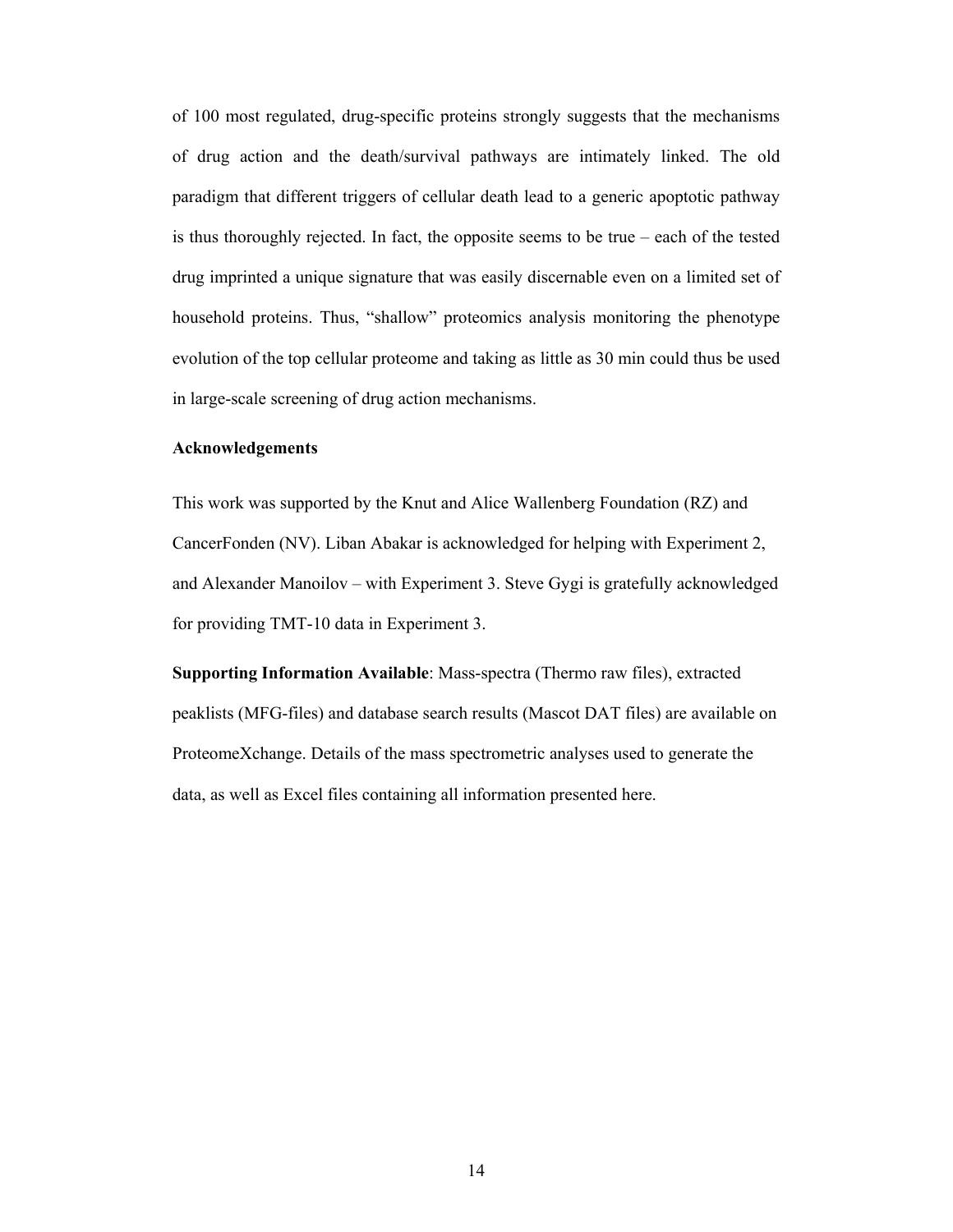of 100 most regulated, drug-specific proteins strongly suggests that the mechanisms of drug action and the death/survival pathways are intimately linked. The old paradigm that different triggers of cellular death lead to a generic apoptotic pathway is thus thoroughly rejected. In fact, the opposite seems to be true – each of the tested drug imprinted a unique signature that was easily discernable even on a limited set of household proteins. Thus, "shallow" proteomics analysis monitoring the phenotype evolution of the top cellular proteome and taking as little as 30 min could thus be used in large-scale screening of drug action mechanisms.

#### **Acknowledgements**

This work was supported by the Knut and Alice Wallenberg Foundation (RZ) and CancerFonden (NV). Liban Abakar is acknowledged for helping with Experiment 2, and Alexander Manoilov – with Experiment 3. Steve Gygi is gratefully acknowledged for providing TMT-10 data in Experiment 3.

**Supporting Information Available**: Mass-spectra (Thermo raw files), extracted peaklists (MFG-files) and database search results (Mascot DAT files) are available on ProteomeXchange. Details of the mass spectrometric analyses used to generate the data, as well as Excel files containing all information presented here.

14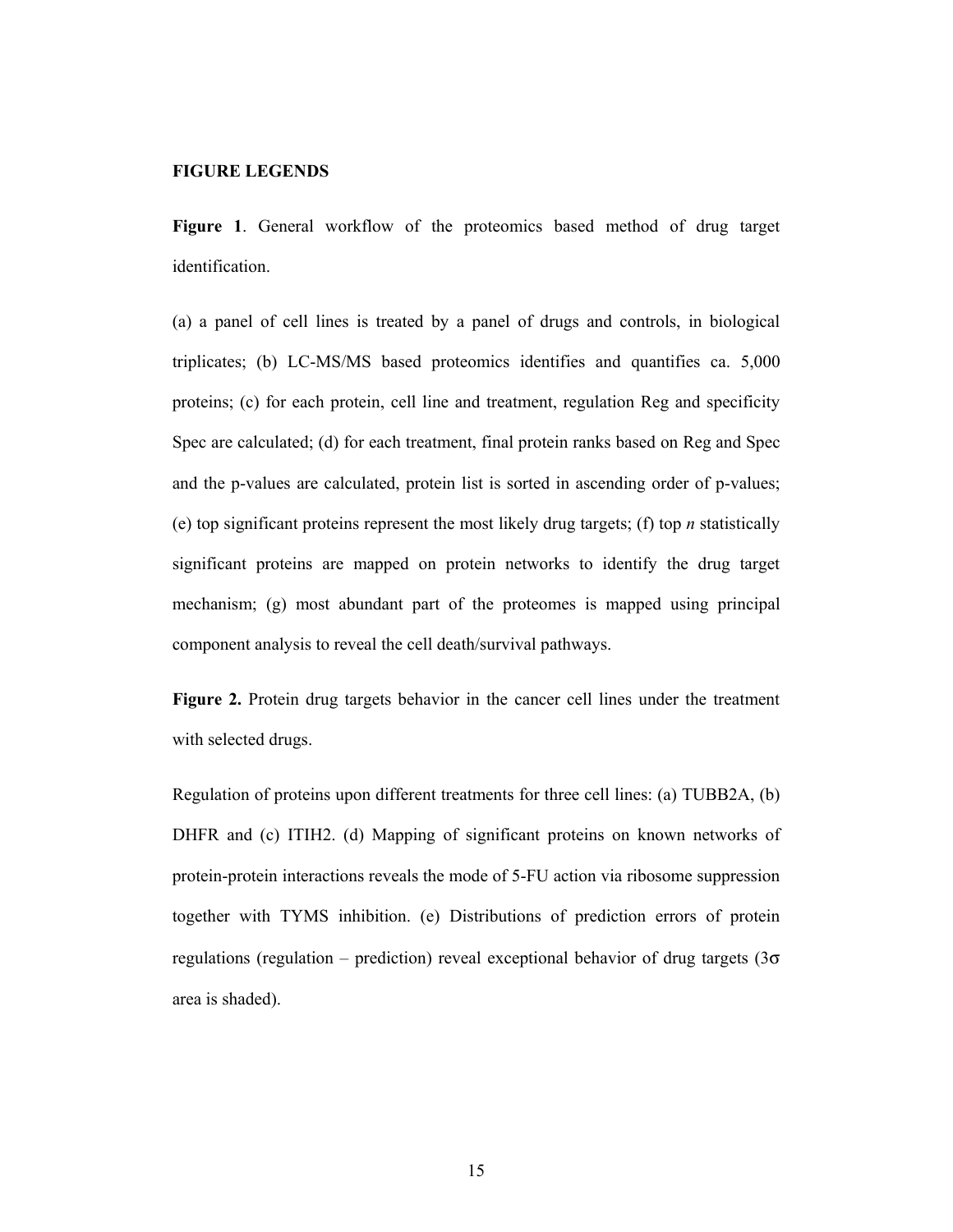#### **FIGURE LEGENDS**

**Figure 1**. General workflow of the proteomics based method of drug target identification.

(a) a panel of cell lines is treated by a panel of drugs and controls, in biological triplicates; (b) LC-MS/MS based proteomics identifies and quantifies ca. 5,000 proteins; (c) for each protein, cell line and treatment, regulation Reg and specificity Spec are calculated; (d) for each treatment, final protein ranks based on Reg and Spec and the p-values are calculated, protein list is sorted in ascending order of p-values; (e) top significant proteins represent the most likely drug targets; (f) top *n* statistically significant proteins are mapped on protein networks to identify the drug target mechanism; (g) most abundant part of the proteomes is mapped using principal component analysis to reveal the cell death/survival pathways.

**Figure 2.** Protein drug targets behavior in the cancer cell lines under the treatment with selected drugs.

Regulation of proteins upon different treatments for three cell lines: (a) TUBB2A, (b) DHFR and (c) ITIH2. (d) Mapping of significant proteins on known networks of protein-protein interactions reveals the mode of 5-FU action via ribosome suppression together with TYMS inhibition. (e) Distributions of prediction errors of protein regulations (regulation – prediction) reveal exceptional behavior of drug targets ( $3\sigma$ ) area is shaded).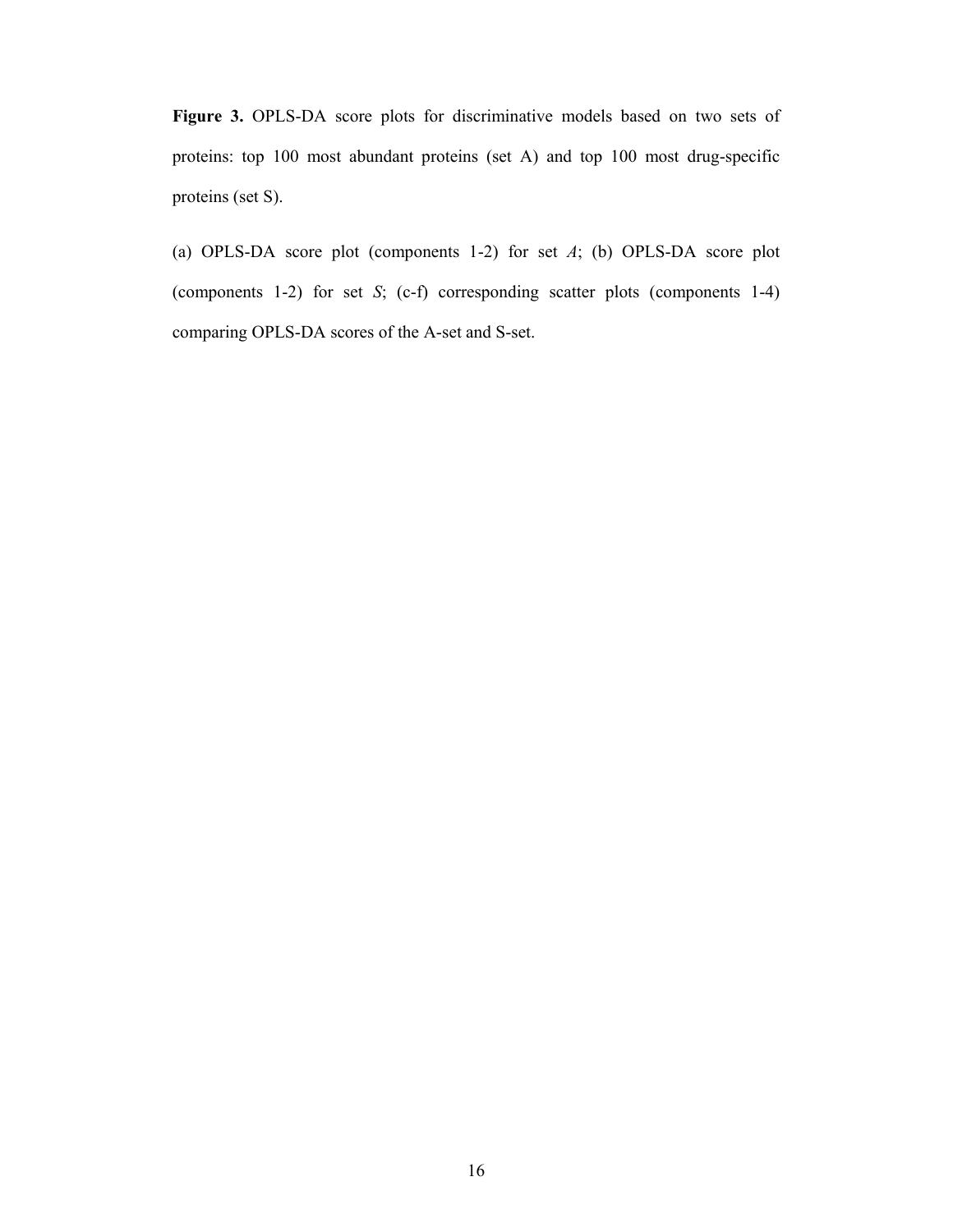**Figure 3.** OPLS-DA score plots for discriminative models based on two sets of proteins: top 100 most abundant proteins (set A) and top 100 most drug-specific proteins (set S).

(a) OPLS-DA score plot (components 1-2) for set *A*; (b) OPLS-DA score plot (components 1-2) for set *S*; (c-f) corresponding scatter plots (components 1-4) comparing OPLS-DA scores of the A-set and S-set.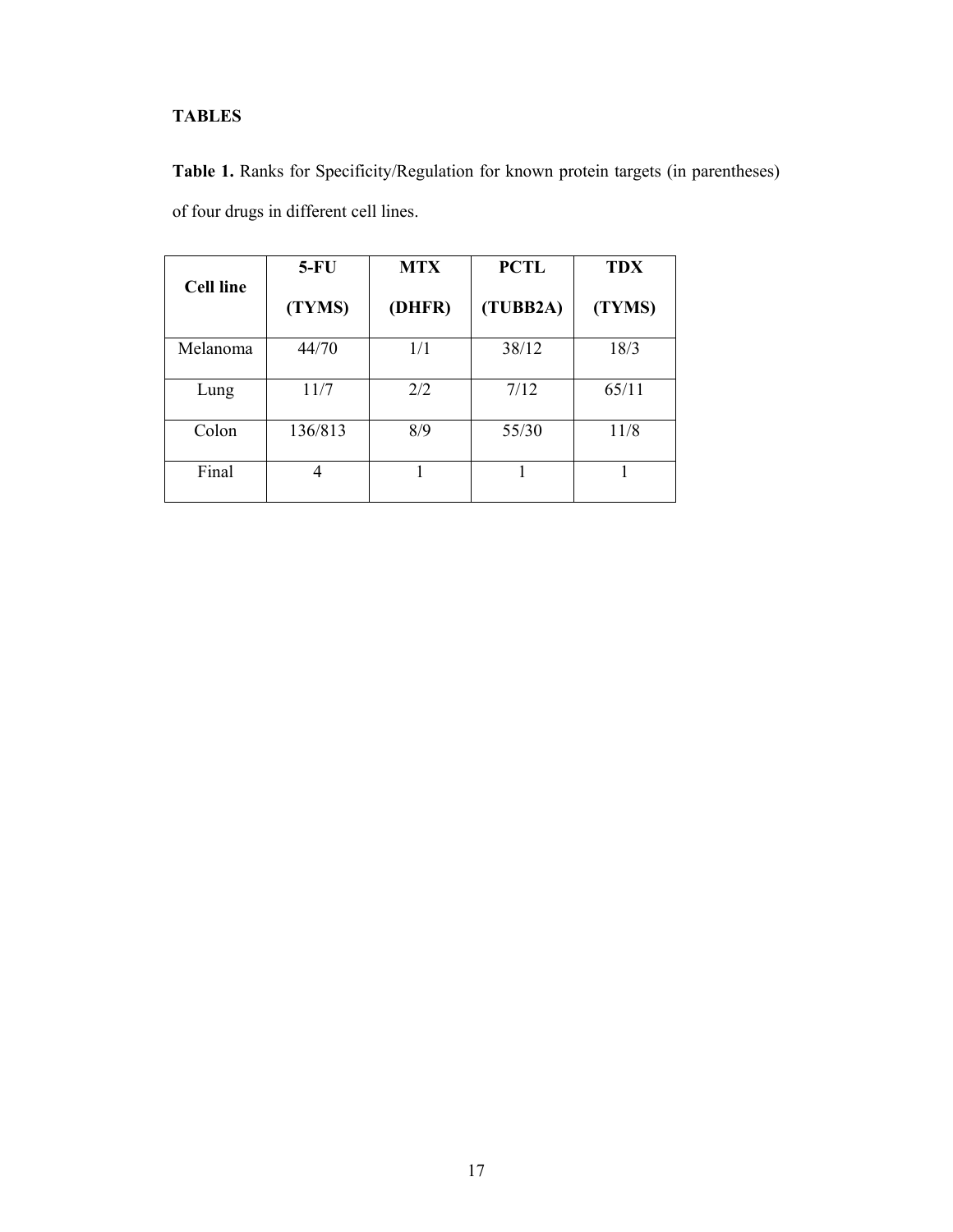## **TABLES**

**Table 1.** Ranks for Specificity/Regulation for known protein targets (in parentheses) of four drugs in different cell lines.

|                  | $5$ - $FU$ | <b>MTX</b> | <b>PCTL</b> | <b>TDX</b> |
|------------------|------------|------------|-------------|------------|
| <b>Cell line</b> | (TYMS)     | (DHFR)     | (TUBB2A)    | (TYMS)     |
| Melanoma         | 44/70      | 1/1        | 38/12       | 18/3       |
| Lung             | 11/7       | 2/2        | 7/12        | 65/11      |
| Colon            | 136/813    | 8/9        | 55/30       | 11/8       |
| Final            | 4          |            |             |            |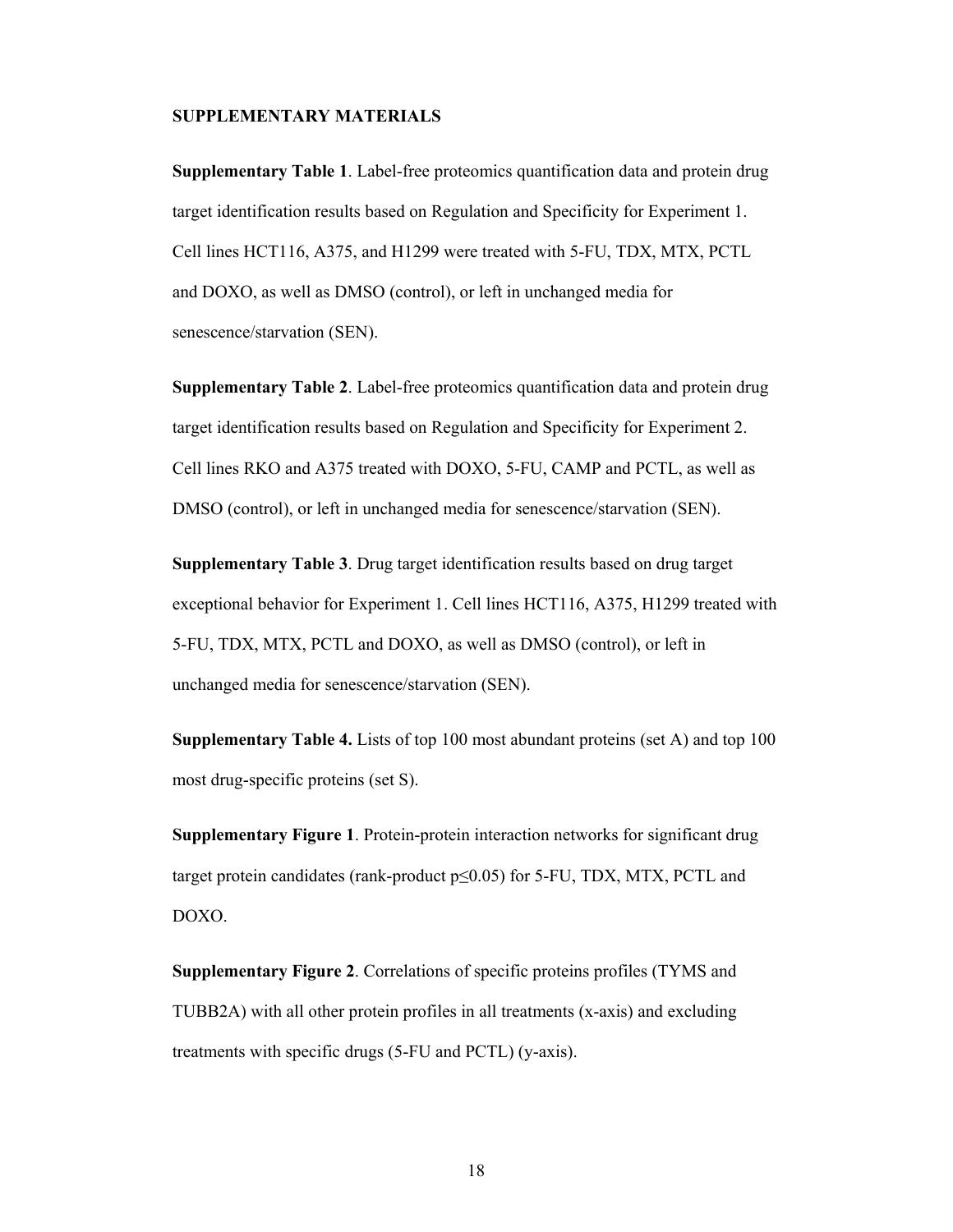#### **SUPPLEMENTARY MATERIALS**

**Supplementary Table 1**. Label-free proteomics quantification data and protein drug target identification results based on Regulation and Specificity for Experiment 1. Cell lines HCT116, A375, and H1299 were treated with 5-FU, TDX, MTX, PCTL and DOXO, as well as DMSO (control), or left in unchanged media for senescence/starvation (SEN).

**Supplementary Table 2**. Label-free proteomics quantification data and protein drug target identification results based on Regulation and Specificity for Experiment 2. Cell lines RKO and A375 treated with DOXO, 5-FU, CAMP and PCTL, as well as DMSO (control), or left in unchanged media for senescence/starvation (SEN).

**Supplementary Table 3**. Drug target identification results based on drug target exceptional behavior for Experiment 1. Cell lines HCT116, A375, H1299 treated with 5-FU, TDX, MTX, PCTL and DOXO, as well as DMSO (control), or left in unchanged media for senescence/starvation (SEN).

**Supplementary Table 4.** Lists of top 100 most abundant proteins (set A) and top 100 most drug-specific proteins (set S).

**Supplementary Figure 1**. Protein-protein interaction networks for significant drug target protein candidates (rank-product  $p\leq 0.05$ ) for 5-FU, TDX, MTX, PCTL and DOXO.

**Supplementary Figure 2**. Correlations of specific proteins profiles (TYMS and TUBB2A) with all other protein profiles in all treatments (x-axis) and excluding treatments with specific drugs (5-FU and PCTL) (y-axis).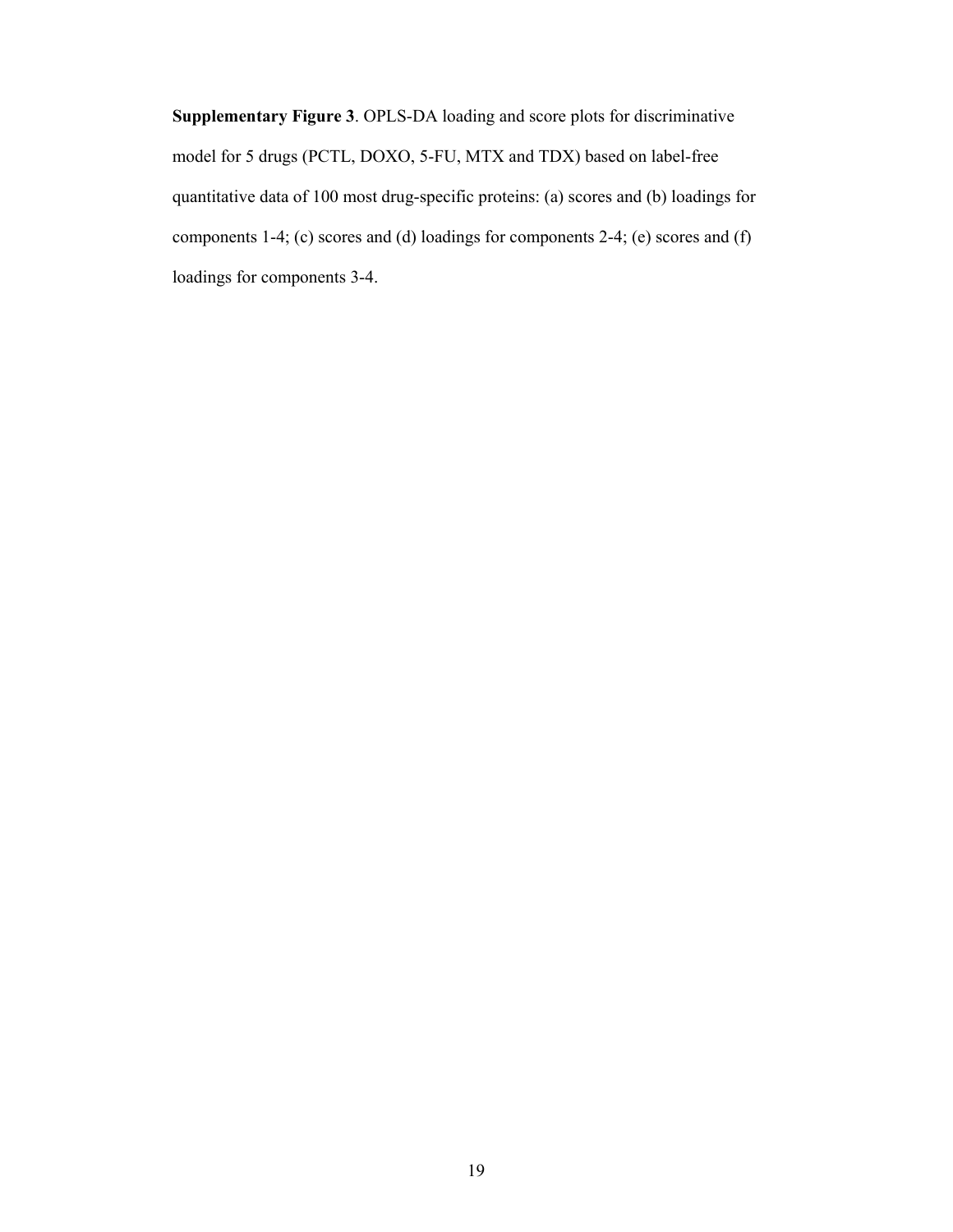**Supplementary Figure 3**. OPLS-DA loading and score plots for discriminative model for 5 drugs (PCTL, DOXO, 5-FU, MTX and TDX) based on label-free quantitative data of 100 most drug-specific proteins: (a) scores and (b) loadings for components 1-4; (c) scores and (d) loadings for components 2-4; (e) scores and (f) loadings for components 3-4.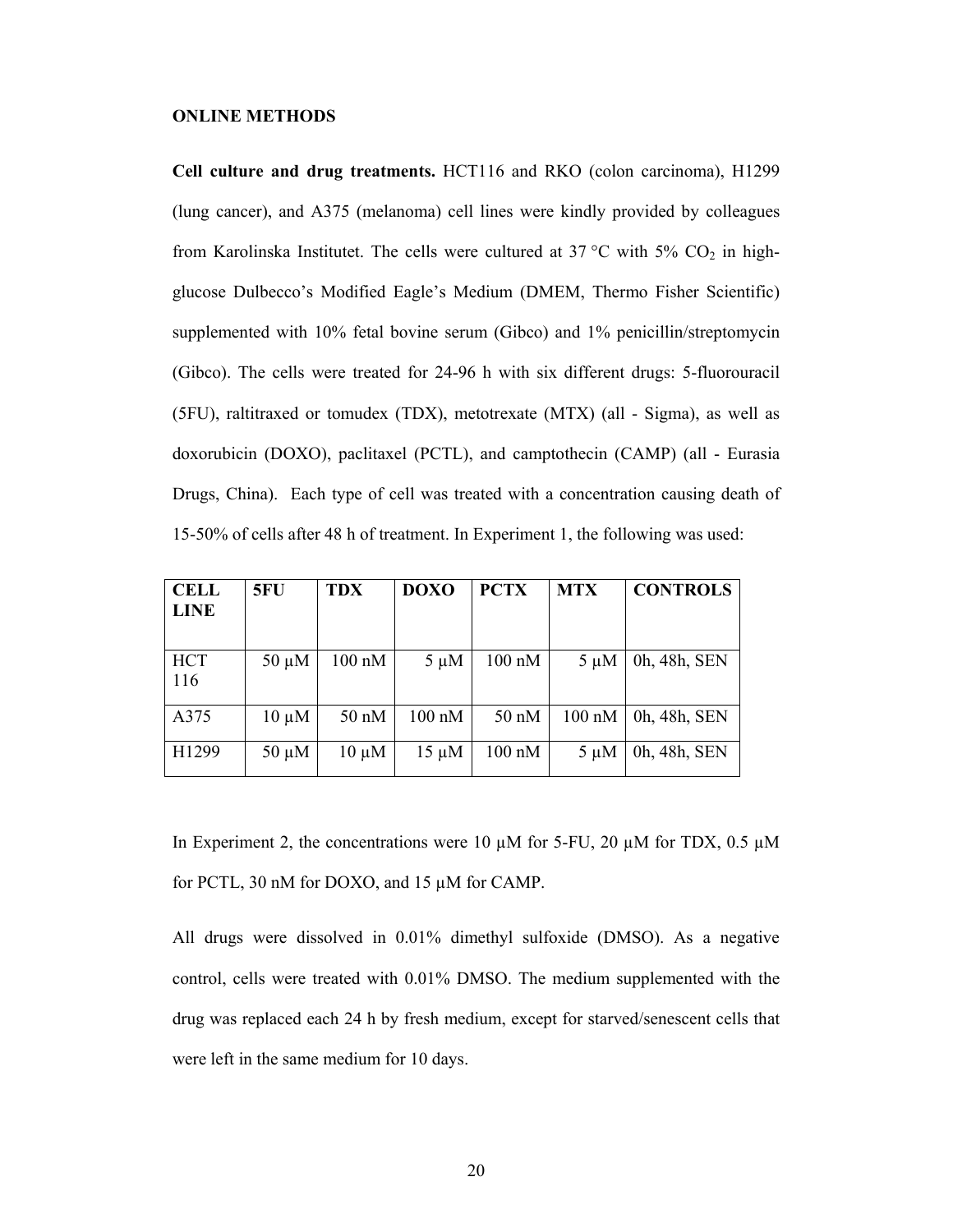#### **ONLINE METHODS**

**Cell culture and drug treatments.** HCT116 and RKO (colon carcinoma), H1299 (lung cancer), and A375 (melanoma) cell lines were kindly provided by colleagues from Karolinska Institutet. The cells were cultured at 37 °C with 5%  $CO<sub>2</sub>$  in highglucose Dulbecco's Modified Eagle's Medium (DMEM, Thermo Fisher Scientific) supplemented with 10% fetal bovine serum (Gibco) and 1% penicillin/streptomycin (Gibco). The cells were treated for 24-96 h with six different drugs: 5-fluorouracil (5FU), raltitraxed or tomudex (TDX), metotrexate (MTX) (all - Sigma), as well as doxorubicin (DOXO), paclitaxel (PCTL), and camptothecin (CAMP) (all - Eurasia Drugs, China). Each type of cell was treated with a concentration causing death of 15-50% of cells after 48 h of treatment. In Experiment 1, the following was used:

| <b>CELL</b><br><b>LINE</b> | <b>5FU</b> | <b>TDX</b>       | <b>DOXO</b>      | <b>PCTX</b>      | <b>MTX</b> | <b>CONTROLS</b> |
|----------------------------|------------|------------------|------------------|------------------|------------|-----------------|
| <b>HCT</b><br>116          | $50 \mu M$ | $100 \text{ nM}$ | $5 \mu M$        | $100 \text{ nM}$ | $5 \mu M$  | 0h, 48h, SEN    |
| A375                       | $10 \mu M$ | $50 \text{ nM}$  | $100 \text{ nM}$ | $50 \text{ nM}$  | $100$ nM   | 0h, 48h, SEN    |
| H1299                      | $50 \mu M$ | $10 \mu M$       | $15 \mu M$       | $100 \text{ nM}$ | $5 \mu M$  | 0h, 48h, SEN    |

In Experiment 2, the concentrations were 10  $\mu$ M for 5-FU, 20  $\mu$ M for TDX, 0.5  $\mu$ M for PCTL, 30 nM for DOXO, and 15 µM for CAMP.

All drugs were dissolved in 0.01% dimethyl sulfoxide (DMSO). As a negative control, cells were treated with 0.01% DMSO. The medium supplemented with the drug was replaced each 24 h by fresh medium, except for starved/senescent cells that were left in the same medium for 10 days.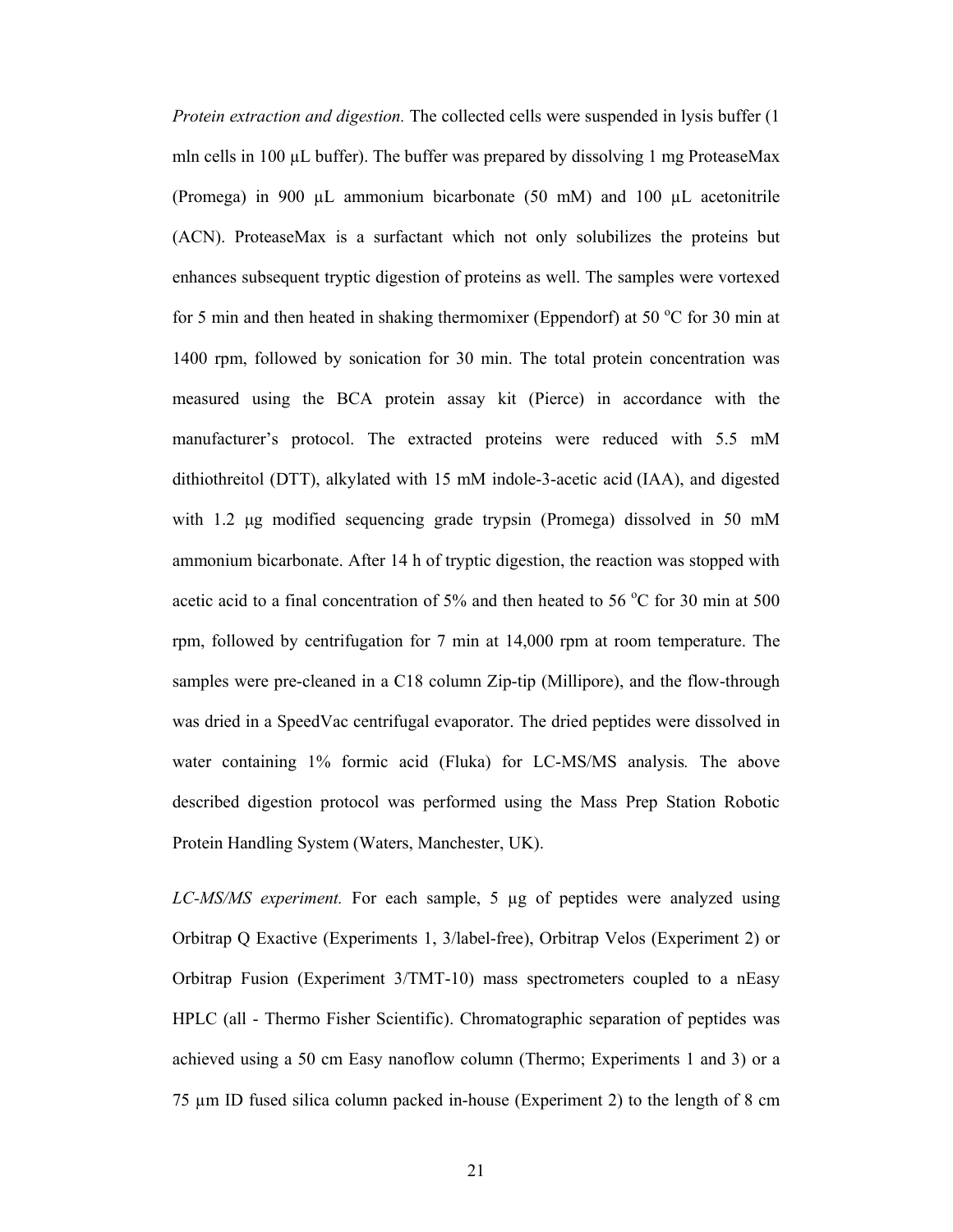*Protein extraction and digestion.* The collected cells were suspended in lysis buffer (1 mln cells in 100 µL buffer). The buffer was prepared by dissolving 1 mg ProteaseMax (Promega) in 900  $\mu$ L ammonium bicarbonate (50 mM) and 100  $\mu$ L acetonitrile (ACN). ProteaseMax is a surfactant which not only solubilizes the proteins but enhances subsequent tryptic digestion of proteins as well. The samples were vortexed for 5 min and then heated in shaking thermomixer (Eppendorf) at 50  $^{\circ}$ C for 30 min at 1400 rpm, followed by sonication for 30 min. The total protein concentration was measured using the BCA protein assay kit (Pierce) in accordance with the manufacturer's protocol. The extracted proteins were reduced with 5.5 mM dithiothreitol (DTT), alkylated with 15 mM indole-3-acetic acid (IAA), and digested with 1.2  $\mu$ g modified sequencing grade trypsin (Promega) dissolved in 50 mM ammonium bicarbonate. After 14 h of tryptic digestion, the reaction was stopped with acetic acid to a final concentration of 5% and then heated to 56  $^{\circ}$ C for 30 min at 500 rpm, followed by centrifugation for 7 min at 14,000 rpm at room temperature. The samples were pre-cleaned in a C18 column Zip-tip (Millipore), and the flow-through was dried in a SpeedVac centrifugal evaporator. The dried peptides were dissolved in water containing 1% formic acid (Fluka) for LC-MS/MS analysis*.* The above described digestion protocol was performed using the Mass Prep Station Robotic Protein Handling System (Waters, Manchester, UK).

*LC-MS/MS experiment.* For each sample, 5 µg of peptides were analyzed using Orbitrap Q Exactive (Experiments 1, 3/label-free), Orbitrap Velos (Experiment 2) or Orbitrap Fusion (Experiment 3/TMT-10) mass spectrometers coupled to a nEasy HPLC (all - Thermo Fisher Scientific). Chromatographic separation of peptides was achieved using a 50 cm Easy nanoflow column (Thermo; Experiments 1 and 3) or a 75 µm ID fused silica column packed in-house (Experiment 2) to the length of 8 cm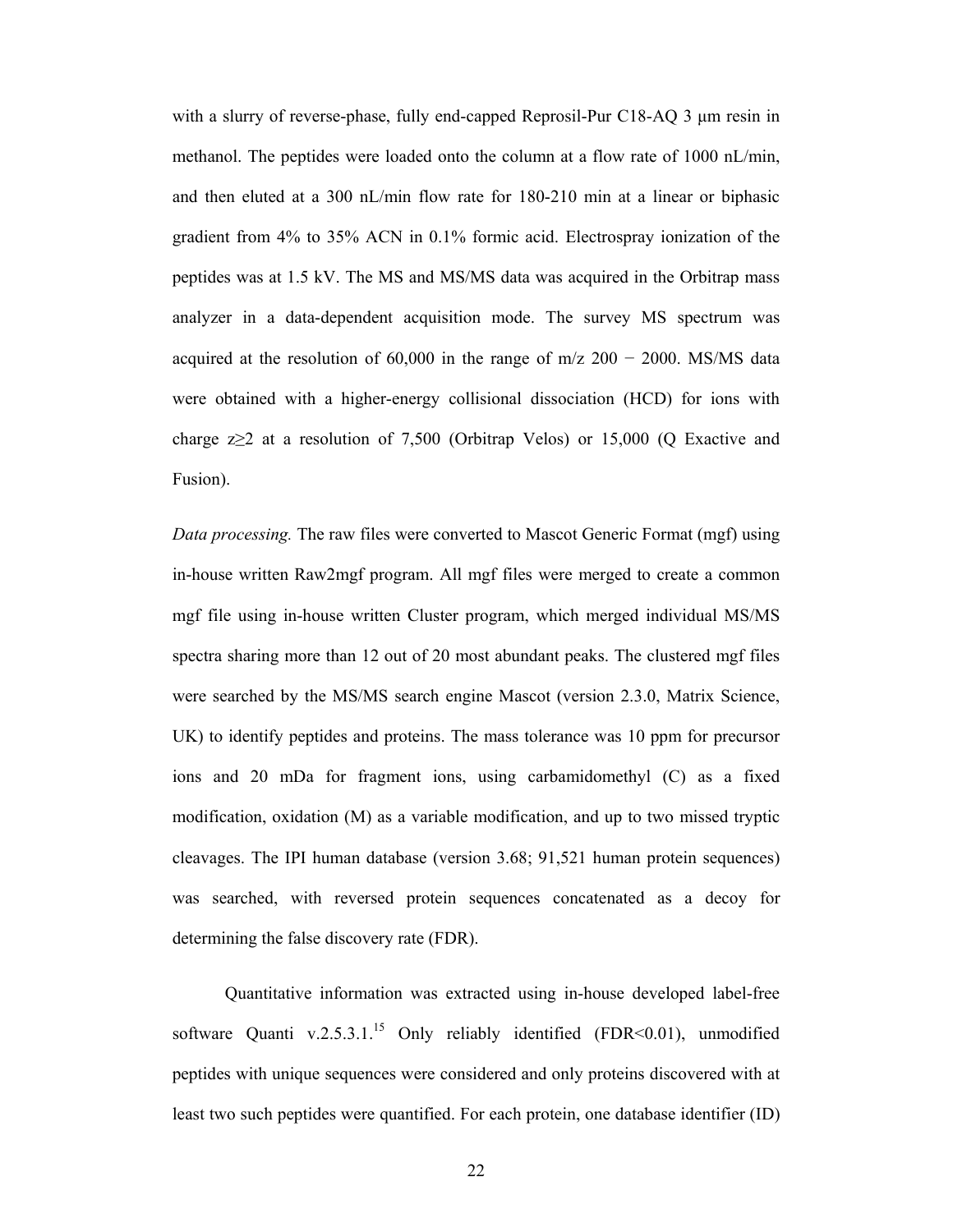with a slurry of reverse-phase, fully end-capped Reprosil-Pur C18-AQ 3  $\mu$ m resin in methanol. The peptides were loaded onto the column at a flow rate of 1000 nL/min, and then eluted at a 300 nL/min flow rate for 180-210 min at a linear or biphasic gradient from 4% to 35% ACN in 0.1% formic acid. Electrospray ionization of the peptides was at 1.5 kV. The MS and MS/MS data was acquired in the Orbitrap mass analyzer in a data-dependent acquisition mode. The survey MS spectrum was acquired at the resolution of  $60,000$  in the range of m/z  $200 - 2000$ . MS/MS data were obtained with a higher-energy collisional dissociation (HCD) for ions with charge  $z\geq 2$  at a resolution of 7,500 (Orbitrap Velos) or 15,000 (Q Exactive and Fusion).

*Data processing.* The raw files were converted to Mascot Generic Format (mgf) using in-house written Raw2mgf program. All mgf files were merged to create a common mgf file using in-house written Cluster program, which merged individual MS/MS spectra sharing more than 12 out of 20 most abundant peaks. The clustered mgf files were searched by the MS/MS search engine Mascot (version 2.3.0, Matrix Science, UK) to identify peptides and proteins. The mass tolerance was 10 ppm for precursor ions and 20 mDa for fragment ions, using carbamidomethyl (C) as a fixed modification, oxidation (M) as a variable modification, and up to two missed tryptic cleavages. The IPI human database (version 3.68; 91,521 human protein sequences) was searched, with reversed protein sequences concatenated as a decoy for determining the false discovery rate (FDR).

Quantitative information was extracted using in-house developed label-free software Quanti v.2.5.3.1.<sup>15</sup> Only reliably identified (FDR<0.01), unmodified peptides with unique sequences were considered and only proteins discovered with at least two such peptides were quantified. For each protein, one database identifier (ID)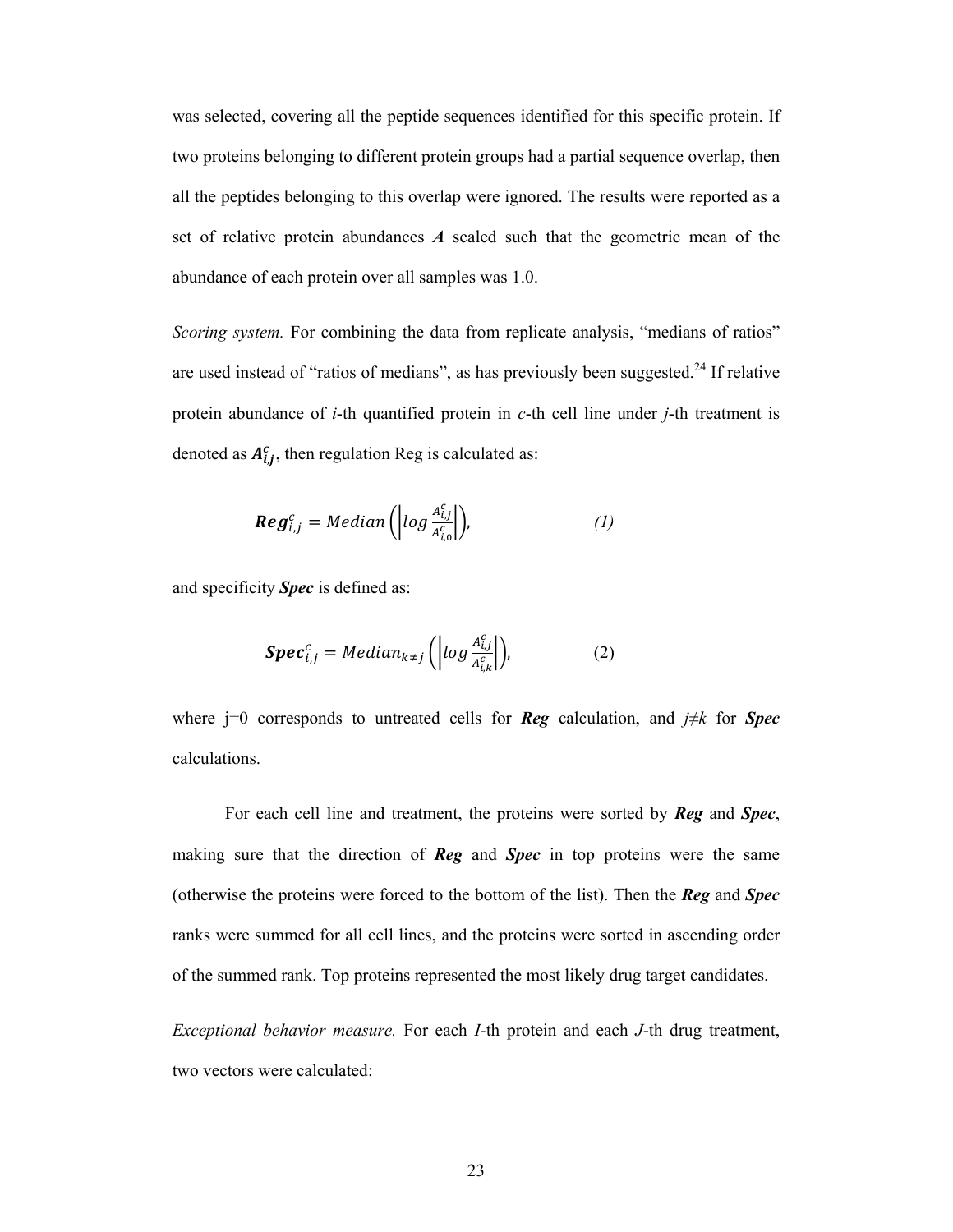was selected, covering all the peptide sequences identified for this specific protein. If two proteins belonging to different protein groups had a partial sequence overlap, then all the peptides belonging to this overlap were ignored. The results were reported as a set of relative protein abundances *A* scaled such that the geometric mean of the abundance of each protein over all samples was 1.0.

*Scoring system.* For combining the data from replicate analysis, "medians of ratios" are used instead of "ratios of medians", as has previously been suggested.<sup>24</sup> If relative protein abundance of *i*-th quantified protein in *c*-th cell line under *j*-th treatment is denoted as  $A_{i,j}^c$ , then regulation Reg is calculated as:

$$
\text{Reg}_{i,j}^c = Median\left(\left| \log \frac{A_{i,j}^c}{A_{i,0}^c} \right|\right),\tag{1}
$$

and specificity *Spec* is defined as:

$$
\text{Spec}_{i,j}^c = \text{Median}_{k \neq j} \left( \left| \log \frac{A_{i,j}^c}{A_{i,k}^c} \right| \right),\tag{2}
$$

where j=0 corresponds to untreated cells for *Reg* calculation, and *jk* for *Spec* calculations.

For each cell line and treatment, the proteins were sorted by *Reg* and *Spec*, making sure that the direction of *Reg* and *Spec* in top proteins were the same (otherwise the proteins were forced to the bottom of the list). Then the *Reg* and *Spec* ranks were summed for all cell lines, and the proteins were sorted in ascending order of the summed rank. Top proteins represented the most likely drug target candidates.

*Exceptional behavior measure.* For each *I*-th protein and each *J*-th drug treatment, two vectors were calculated: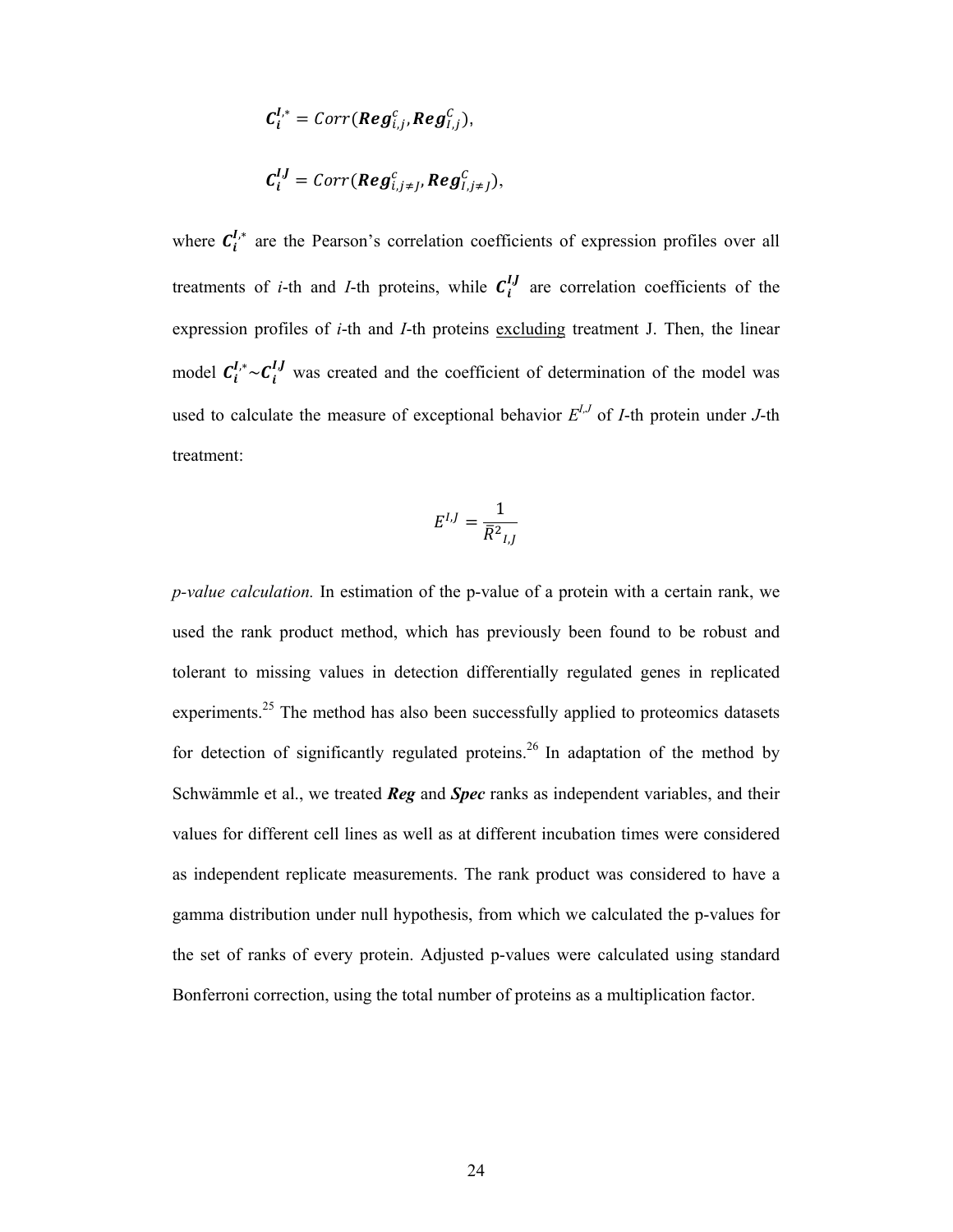$$
C_i^{I,*} = Corr(Reg_{i,j}^c, Reg_{i,j}^c),
$$
  

$$
C_i^{IJ} = Corr(Reg_{i,j \neq j}^c, Reg_{i,j \neq j}^c),
$$

where  $C_i^{l,*}$  are the Pearson's correlation coefficients of expression profiles over all treatments of *i*-th and *I*-th proteins, while  $C_i^{IJ}$  are correlation coefficients of the expression profiles of *i*-th and *I*-th proteins excluding treatment J. Then, the linear model  $C_i^{l,*} \sim C_i^{l,j}$  was created and the coefficient of determination of the model was used to calculate the measure of exceptional behavior  $E^{I,J}$  of *I*-th protein under *J*-th treatment:

$$
E^{I,J}=\frac{1}{\bar{R}^2}_{I,J}
$$

*p-value calculation.* In estimation of the p-value of a protein with a certain rank, we used the rank product method, which has previously been found to be robust and tolerant to missing values in detection differentially regulated genes in replicated experiments.<sup>25</sup> The method has also been successfully applied to proteomics datasets for detection of significantly regulated proteins.<sup>26</sup> In adaptation of the method by Schwämmle et al., we treated *Reg* and *Spec* ranks as independent variables, and their values for different cell lines as well as at different incubation times were considered as independent replicate measurements. The rank product was considered to have a gamma distribution under null hypothesis, from which we calculated the p-values for the set of ranks of every protein. Adjusted p-values were calculated using standard Bonferroni correction, using the total number of proteins as a multiplication factor.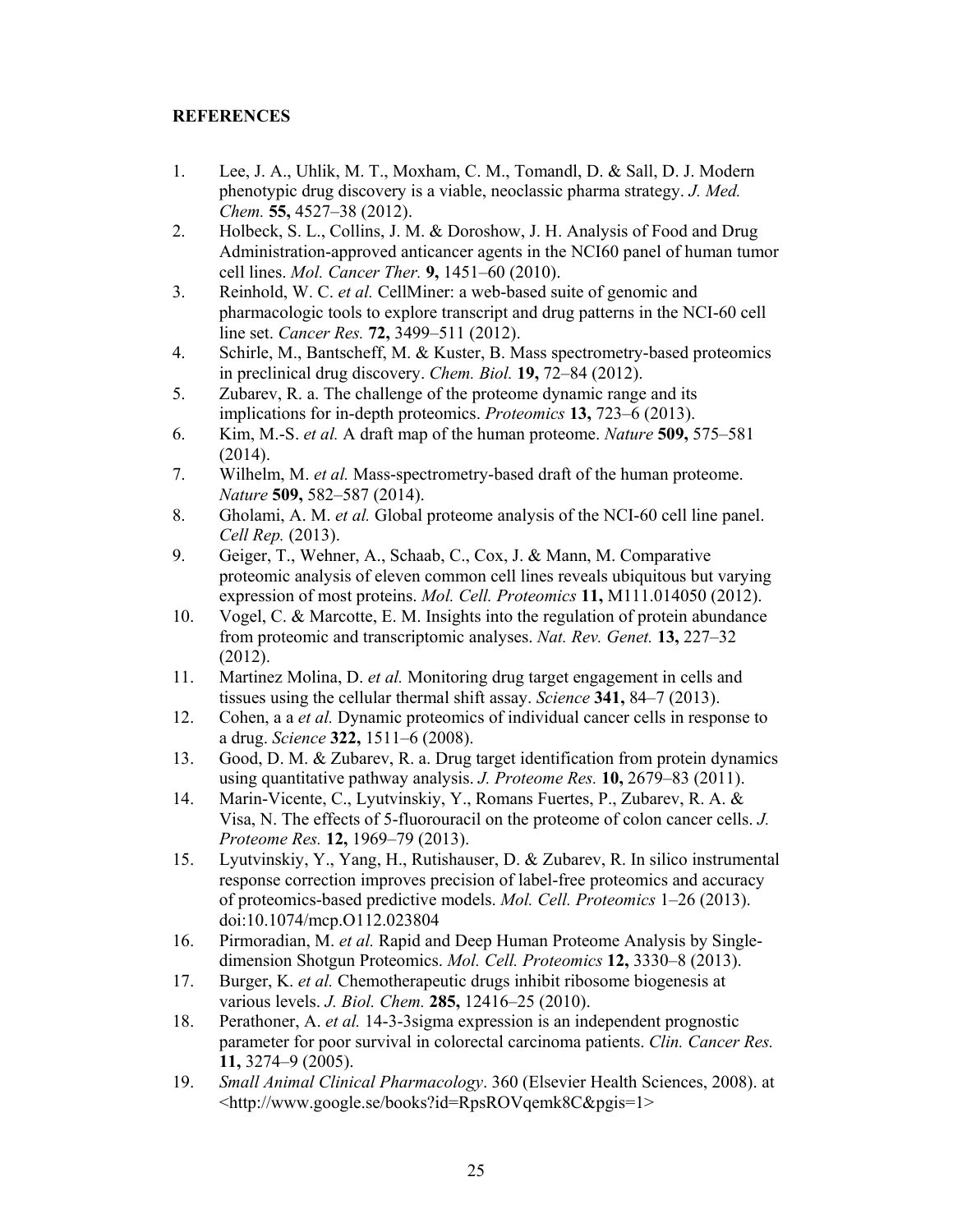### **REFERENCES**

- 1. Lee, J. A., Uhlik, M. T., Moxham, C. M., Tomandl, D. & Sall, D. J. Modern phenotypic drug discovery is a viable, neoclassic pharma strategy. *J. Med. Chem.* **55,** 4527–38 (2012).
- 2. Holbeck, S. L., Collins, J. M. & Doroshow, J. H. Analysis of Food and Drug Administration-approved anticancer agents in the NCI60 panel of human tumor cell lines. *Mol. Cancer Ther.* **9,** 1451–60 (2010).
- 3. Reinhold, W. C. *et al.* CellMiner: a web-based suite of genomic and pharmacologic tools to explore transcript and drug patterns in the NCI-60 cell line set. *Cancer Res.* **72,** 3499–511 (2012).
- 4. Schirle, M., Bantscheff, M. & Kuster, B. Mass spectrometry-based proteomics in preclinical drug discovery. *Chem. Biol.* **19,** 72–84 (2012).
- 5. Zubarev, R. a. The challenge of the proteome dynamic range and its implications for in-depth proteomics. *Proteomics* **13,** 723–6 (2013).
- 6. Kim, M.-S. *et al.* A draft map of the human proteome. *Nature* **509,** 575–581 (2014).
- 7. Wilhelm, M. *et al.* Mass-spectrometry-based draft of the human proteome. *Nature* **509,** 582–587 (2014).
- 8. Gholami, A. M. *et al.* Global proteome analysis of the NCI-60 cell line panel. *Cell Rep.* (2013).
- 9. Geiger, T., Wehner, A., Schaab, C., Cox, J. & Mann, M. Comparative proteomic analysis of eleven common cell lines reveals ubiquitous but varying expression of most proteins. *Mol. Cell. Proteomics* **11,** M111.014050 (2012).
- 10. Vogel, C. & Marcotte, E. M. Insights into the regulation of protein abundance from proteomic and transcriptomic analyses. *Nat. Rev. Genet.* **13,** 227–32 (2012).
- 11. Martinez Molina, D. *et al.* Monitoring drug target engagement in cells and tissues using the cellular thermal shift assay. *Science* **341,** 84–7 (2013).
- 12. Cohen, a a *et al.* Dynamic proteomics of individual cancer cells in response to a drug. *Science* **322,** 1511–6 (2008).
- 13. Good, D. M. & Zubarev, R. a. Drug target identification from protein dynamics using quantitative pathway analysis. *J. Proteome Res.* **10,** 2679–83 (2011).
- 14. Marin-Vicente, C., Lyutvinskiy, Y., Romans Fuertes, P., Zubarev, R. A. & Visa, N. The effects of 5-fluorouracil on the proteome of colon cancer cells. *J. Proteome Res.* **12,** 1969–79 (2013).
- 15. Lyutvinskiy, Y., Yang, H., Rutishauser, D. & Zubarev, R. In silico instrumental response correction improves precision of label-free proteomics and accuracy of proteomics-based predictive models. *Mol. Cell. Proteomics* 1–26 (2013). doi:10.1074/mcp.O112.023804
- 16. Pirmoradian, M. *et al.* Rapid and Deep Human Proteome Analysis by Singledimension Shotgun Proteomics. *Mol. Cell. Proteomics* **12,** 3330–8 (2013).
- 17. Burger, K. *et al.* Chemotherapeutic drugs inhibit ribosome biogenesis at various levels. *J. Biol. Chem.* **285,** 12416–25 (2010).
- 18. Perathoner, A. *et al.* 14-3-3sigma expression is an independent prognostic parameter for poor survival in colorectal carcinoma patients. *Clin. Cancer Res.* **11,** 3274–9 (2005).
- 19. *Small Animal Clinical Pharmacology*. 360 (Elsevier Health Sciences, 2008). at <http://www.google.se/books?id=RpsROVqemk8C&pgis=1>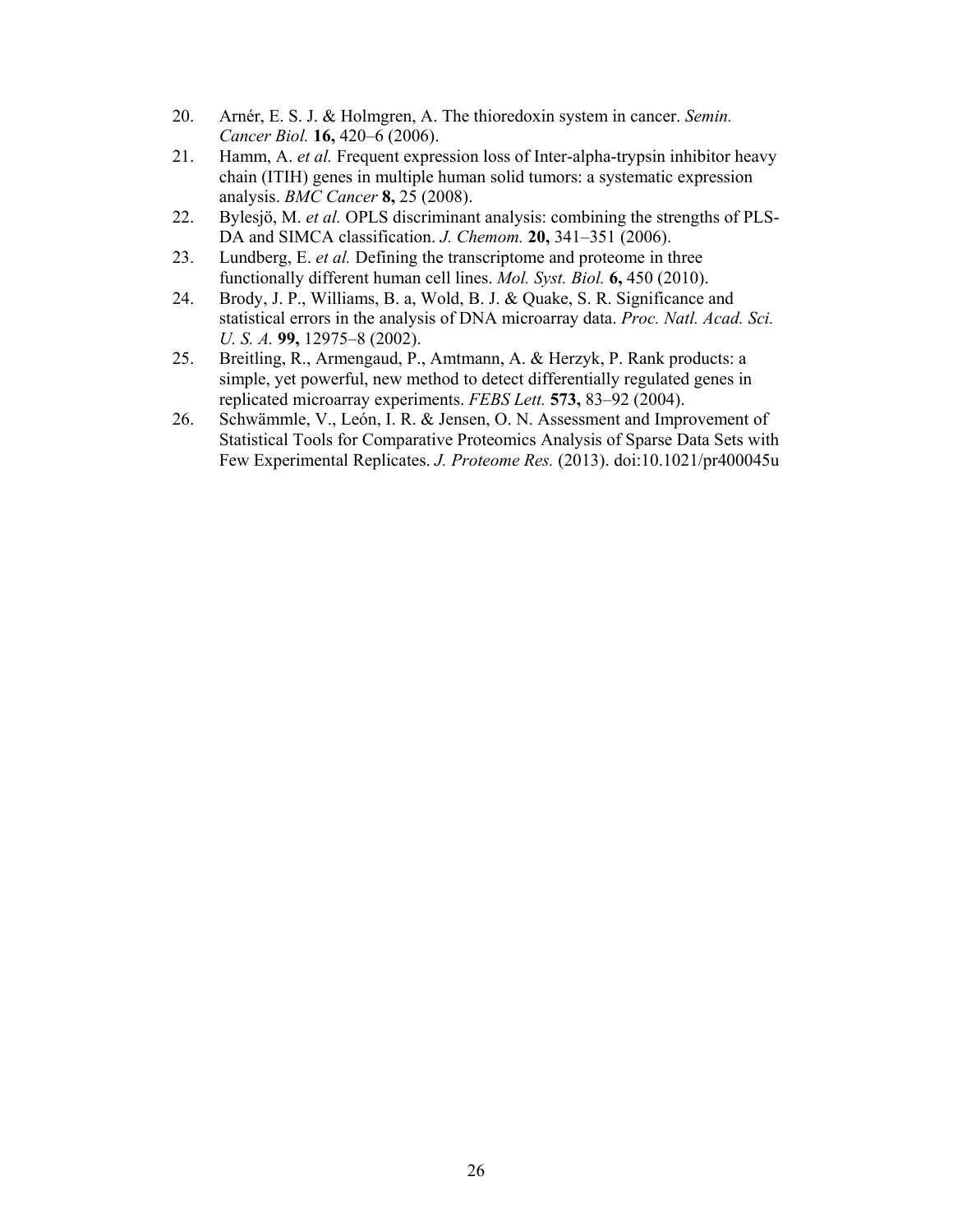- 20. Arnér, E. S. J. & Holmgren, A. The thioredoxin system in cancer. *Semin. Cancer Biol.* **16,** 420–6 (2006).
- 21. Hamm, A. *et al.* Frequent expression loss of Inter-alpha-trypsin inhibitor heavy chain (ITIH) genes in multiple human solid tumors: a systematic expression analysis. *BMC Cancer* **8,** 25 (2008).
- 22. Bylesjö, M. *et al.* OPLS discriminant analysis: combining the strengths of PLS-DA and SIMCA classification. *J. Chemom.* **20,** 341–351 (2006).
- 23. Lundberg, E. *et al.* Defining the transcriptome and proteome in three functionally different human cell lines. *Mol. Syst. Biol.* **6,** 450 (2010).
- 24. Brody, J. P., Williams, B. a, Wold, B. J. & Quake, S. R. Significance and statistical errors in the analysis of DNA microarray data. *Proc. Natl. Acad. Sci. U. S. A.* **99,** 12975–8 (2002).
- 25. Breitling, R., Armengaud, P., Amtmann, A. & Herzyk, P. Rank products: a simple, yet powerful, new method to detect differentially regulated genes in replicated microarray experiments. *FEBS Lett.* **573,** 83–92 (2004).
- 26. Schwämmle, V., León, I. R. & Jensen, O. N. Assessment and Improvement of Statistical Tools for Comparative Proteomics Analysis of Sparse Data Sets with Few Experimental Replicates. *J. Proteome Res.* (2013). doi:10.1021/pr400045u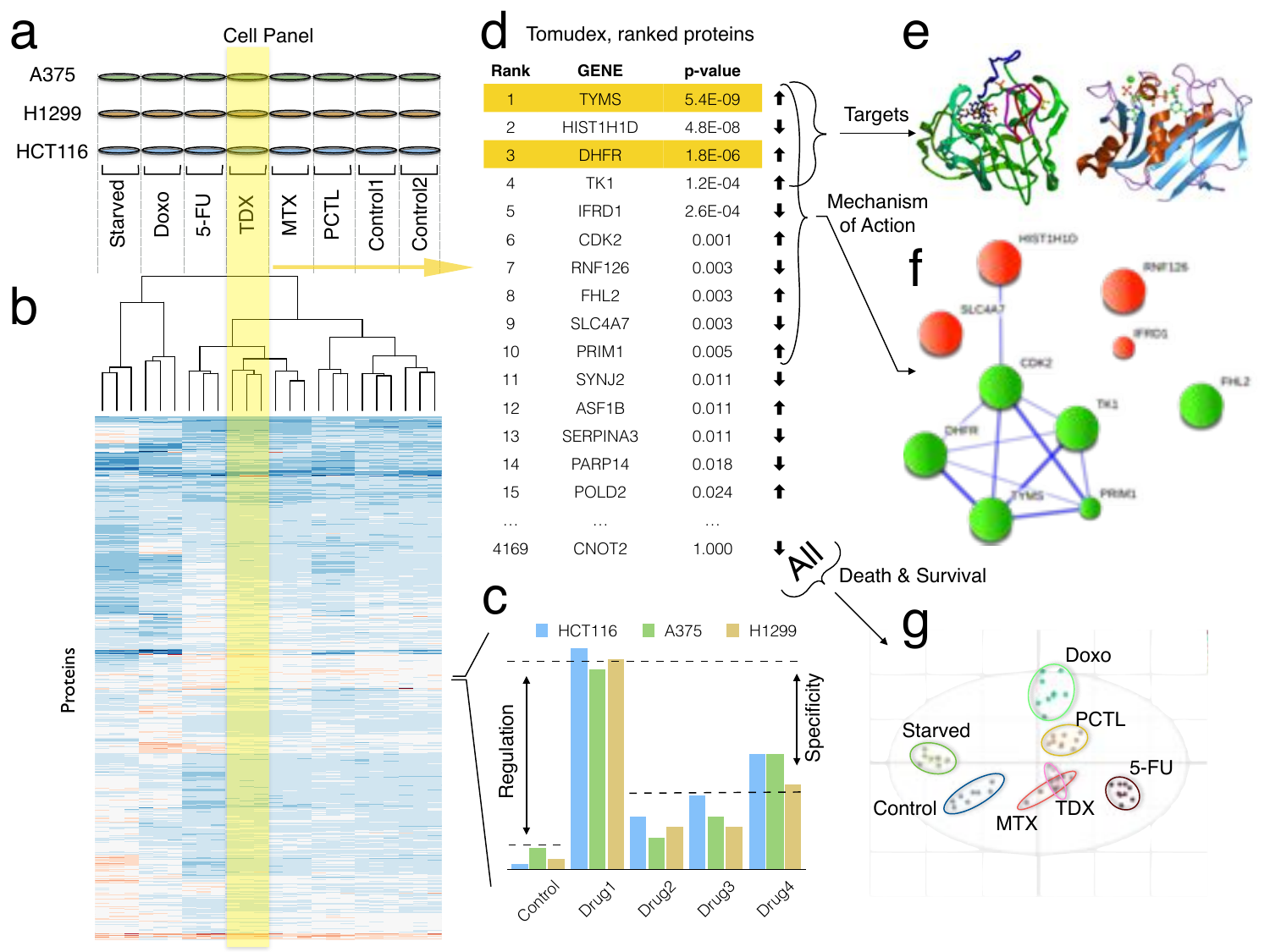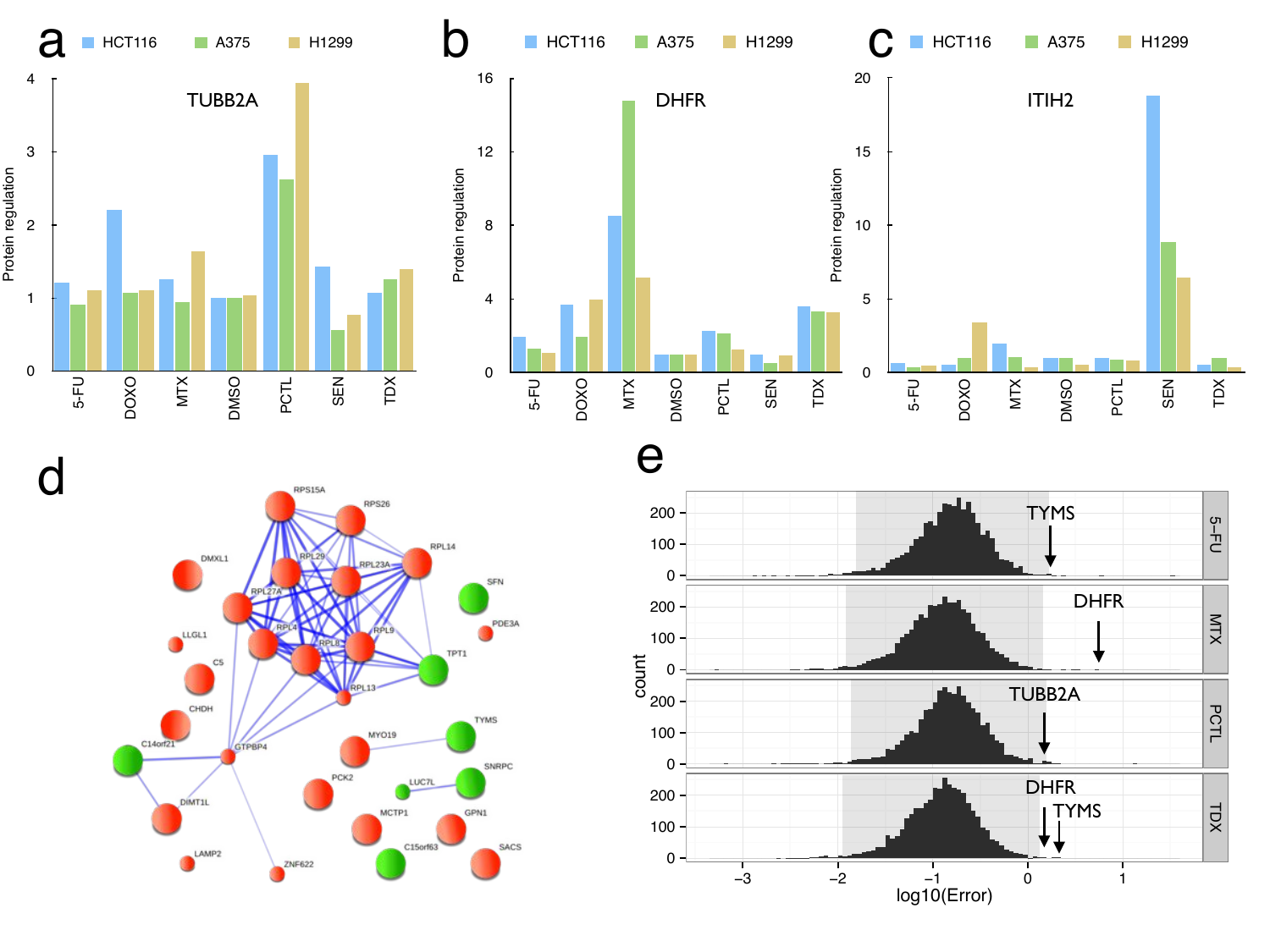

d